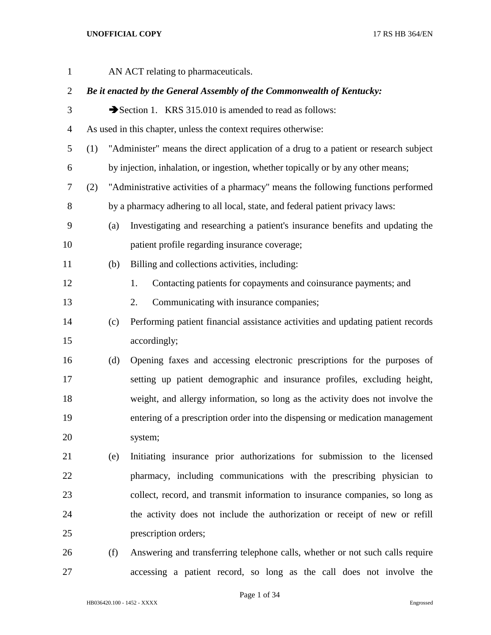| $\mathbf{1}$   | AN ACT relating to pharmaceuticals. |     |                                                                                      |  |
|----------------|-------------------------------------|-----|--------------------------------------------------------------------------------------|--|
| $\overline{2}$ |                                     |     | Be it enacted by the General Assembly of the Commonwealth of Kentucky:               |  |
| 3              |                                     |     | Section 1. KRS 315.010 is amended to read as follows:                                |  |
| $\overline{4}$ |                                     |     | As used in this chapter, unless the context requires otherwise:                      |  |
| 5              | (1)                                 |     | "Administer" means the direct application of a drug to a patient or research subject |  |
| 6              |                                     |     | by injection, inhalation, or ingestion, whether topically or by any other means;     |  |
| 7              | (2)                                 |     | "Administrative activities of a pharmacy" means the following functions performed    |  |
| $8\,$          |                                     |     | by a pharmacy adhering to all local, state, and federal patient privacy laws:        |  |
| 9              |                                     | (a) | Investigating and researching a patient's insurance benefits and updating the        |  |
| 10             |                                     |     | patient profile regarding insurance coverage;                                        |  |
| 11             |                                     | (b) | Billing and collections activities, including:                                       |  |
| 12             |                                     |     | Contacting patients for copayments and coinsurance payments; and<br>1.               |  |
| 13             |                                     |     | 2.<br>Communicating with insurance companies;                                        |  |
| 14             |                                     | (c) | Performing patient financial assistance activities and updating patient records      |  |
| 15             |                                     |     | accordingly;                                                                         |  |
| 16             |                                     | (d) | Opening faxes and accessing electronic prescriptions for the purposes of             |  |
| 17             |                                     |     | setting up patient demographic and insurance profiles, excluding height,             |  |
| 18             |                                     |     | weight, and allergy information, so long as the activity does not involve the        |  |
| 19             |                                     |     | entering of a prescription order into the dispensing or medication management        |  |
| 20             |                                     |     | system;                                                                              |  |
| 21             |                                     | (e) | Initiating insurance prior authorizations for submission to the licensed             |  |
| 22             |                                     |     | pharmacy, including communications with the prescribing physician to                 |  |
| 23             |                                     |     | collect, record, and transmit information to insurance companies, so long as         |  |
| 24             |                                     |     | the activity does not include the authorization or receipt of new or refill          |  |
| 25             |                                     |     | prescription orders;                                                                 |  |
| 26             |                                     | (f) | Answering and transferring telephone calls, whether or not such calls require        |  |

HB036420.100 - 1452 - XXXX Engrossed

Page 1 of 34

accessing a patient record, so long as the call does not involve the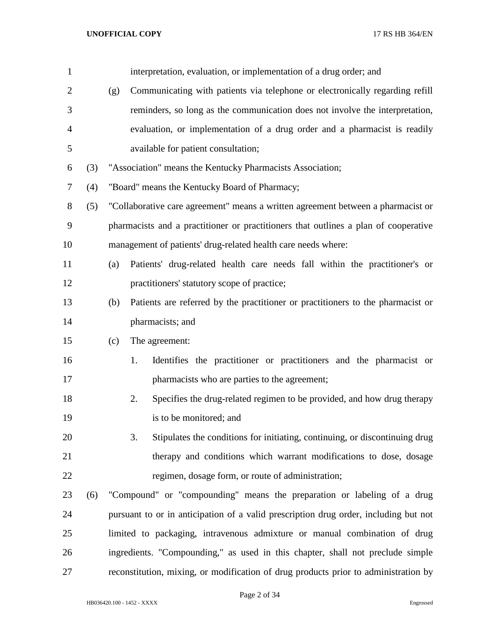| $\mathbf{1}$   |     |     | interpretation, evaluation, or implementation of a drug order; and                   |  |  |
|----------------|-----|-----|--------------------------------------------------------------------------------------|--|--|
| $\overline{2}$ |     | (g) | Communicating with patients via telephone or electronically regarding refill         |  |  |
| 3              |     |     | reminders, so long as the communication does not involve the interpretation,         |  |  |
| $\overline{4}$ |     |     | evaluation, or implementation of a drug order and a pharmacist is readily            |  |  |
| 5              |     |     | available for patient consultation;                                                  |  |  |
| 6              | (3) |     | "Association" means the Kentucky Pharmacists Association;                            |  |  |
| $\tau$         | (4) |     | "Board" means the Kentucky Board of Pharmacy;                                        |  |  |
| 8              | (5) |     | "Collaborative care agreement" means a written agreement between a pharmacist or     |  |  |
| 9              |     |     | pharmacists and a practitioner or practitioners that outlines a plan of cooperative  |  |  |
| 10             |     |     | management of patients' drug-related health care needs where:                        |  |  |
| 11             |     | (a) | Patients' drug-related health care needs fall within the practitioner's or           |  |  |
| 12             |     |     | practitioners' statutory scope of practice;                                          |  |  |
| 13             |     | (b) | Patients are referred by the practitioner or practitioners to the pharmacist or      |  |  |
| 14             |     |     | pharmacists; and                                                                     |  |  |
| 15             |     | (c) | The agreement:                                                                       |  |  |
| 16             |     |     | Identifies the practitioner or practitioners and the pharmacist or<br>1.             |  |  |
| 17             |     |     | pharmacists who are parties to the agreement;                                        |  |  |
| 18             |     |     | Specifies the drug-related regimen to be provided, and how drug therapy<br>2.        |  |  |
| 19             |     |     | is to be monitored; and                                                              |  |  |
| 20             |     |     | 3.<br>Stipulates the conditions for initiating, continuing, or discontinuing drug    |  |  |
| 21             |     |     | therapy and conditions which warrant modifications to dose, dosage                   |  |  |
| 22             |     |     | regimen, dosage form, or route of administration;                                    |  |  |
| 23             | (6) |     | "Compound" or "compounding" means the preparation or labeling of a drug              |  |  |
| 24             |     |     | pursuant to or in anticipation of a valid prescription drug order, including but not |  |  |
| 25             |     |     | limited to packaging, intravenous admixture or manual combination of drug            |  |  |
| 26             |     |     | ingredients. "Compounding," as used in this chapter, shall not preclude simple       |  |  |
| 27             |     |     | reconstitution, mixing, or modification of drug products prior to administration by  |  |  |

Page 2 of 34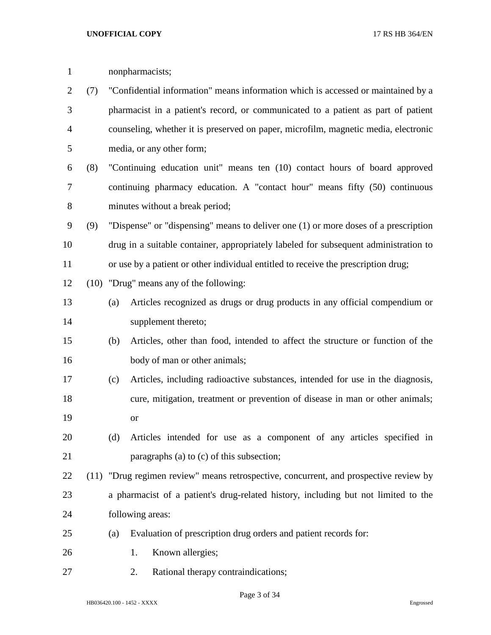| $\mathbf{1}$   |     | nonpharmacists;                                                                   |                                                                                       |  |  |  |
|----------------|-----|-----------------------------------------------------------------------------------|---------------------------------------------------------------------------------------|--|--|--|
| $\overline{2}$ | (7) | "Confidential information" means information which is accessed or maintained by a |                                                                                       |  |  |  |
| 3              |     |                                                                                   | pharmacist in a patient's record, or communicated to a patient as part of patient     |  |  |  |
| 4              |     |                                                                                   | counseling, whether it is preserved on paper, microfilm, magnetic media, electronic   |  |  |  |
| 5              |     |                                                                                   | media, or any other form;                                                             |  |  |  |
| 6              | (8) |                                                                                   | "Continuing education unit" means ten (10) contact hours of board approved            |  |  |  |
| $\tau$         |     |                                                                                   | continuing pharmacy education. A "contact hour" means fifty (50) continuous           |  |  |  |
| $8\,$          |     |                                                                                   | minutes without a break period;                                                       |  |  |  |
| 9              | (9) |                                                                                   | "Dispense" or "dispensing" means to deliver one (1) or more doses of a prescription   |  |  |  |
| 10             |     |                                                                                   | drug in a suitable container, appropriately labeled for subsequent administration to  |  |  |  |
| 11             |     |                                                                                   | or use by a patient or other individual entitled to receive the prescription drug;    |  |  |  |
| 12             |     |                                                                                   | (10) "Drug" means any of the following:                                               |  |  |  |
| 13             |     | (a)                                                                               | Articles recognized as drugs or drug products in any official compendium or           |  |  |  |
| 14             |     |                                                                                   | supplement thereto;                                                                   |  |  |  |
| 15             |     | (b)                                                                               | Articles, other than food, intended to affect the structure or function of the        |  |  |  |
| 16             |     |                                                                                   | body of man or other animals;                                                         |  |  |  |
| 17             |     | (c)                                                                               | Articles, including radioactive substances, intended for use in the diagnosis,        |  |  |  |
| 18             |     |                                                                                   | cure, mitigation, treatment or prevention of disease in man or other animals;         |  |  |  |
| 19             |     |                                                                                   | <sub>or</sub>                                                                         |  |  |  |
| 20             |     | (d)                                                                               | Articles intended for use as a component of any articles specified in                 |  |  |  |
| 21             |     |                                                                                   | paragraphs (a) to (c) of this subsection;                                             |  |  |  |
| 22             |     |                                                                                   | (11) "Drug regimen review" means retrospective, concurrent, and prospective review by |  |  |  |
| 23             |     |                                                                                   | a pharmacist of a patient's drug-related history, including but not limited to the    |  |  |  |
| 24             |     |                                                                                   | following areas:                                                                      |  |  |  |
| 25             |     | (a)                                                                               | Evaluation of prescription drug orders and patient records for:                       |  |  |  |
| 26             |     |                                                                                   | Known allergies;<br>1.                                                                |  |  |  |
| 27             |     |                                                                                   | Rational therapy contraindications;<br>2.                                             |  |  |  |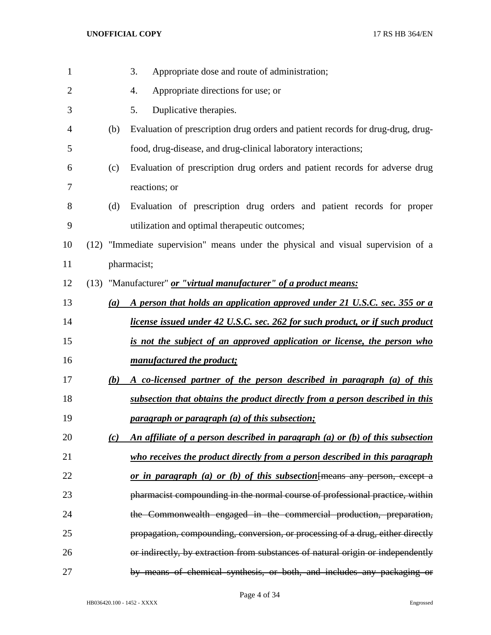| $\mathbf{1}$   |     | 3.<br>Appropriate dose and route of administration;                               |
|----------------|-----|-----------------------------------------------------------------------------------|
| $\overline{2}$ |     | Appropriate directions for use; or<br>4.                                          |
| 3              |     | Duplicative therapies.<br>5.                                                      |
| 4              | (b) | Evaluation of prescription drug orders and patient records for drug-drug, drug-   |
| 5              |     | food, drug-disease, and drug-clinical laboratory interactions;                    |
| 6              | (c) | Evaluation of prescription drug orders and patient records for adverse drug       |
| 7              |     | reactions; or                                                                     |
| 8              | (d) | Evaluation of prescription drug orders and patient records for proper             |
| 9              |     | utilization and optimal therapeutic outcomes;                                     |
| 10             |     | (12) "Immediate supervision" means under the physical and visual supervision of a |
| 11             |     | pharmacist;                                                                       |
| 12             |     | (13) "Manufacturer" <i>or "virtual manufacturer" of a product means:</i>          |
| 13             | (a) | A person that holds an application approved under 21 U.S.C. sec. 355 or a         |
| 14             |     | license issued under 42 U.S.C. sec. 262 for such product, or if such product      |
| 15             |     | is not the subject of an approved application or license, the person who          |
| 16             |     | manufactured the product;                                                         |
| 17             | (b) | A co-licensed partner of the person described in paragraph (a) of this            |
| 18             |     | subsection that obtains the product directly from a person described in this      |
| 19             |     | paragraph or paragraph (a) of this subsection;                                    |
| 20             | (c) | An affiliate of a person described in paragraph (a) or (b) of this subsection     |
| 21             |     | who receives the product directly from a person described in this paragraph       |
| 22             |     | or in paragraph (a) or (b) of this subsection {means any person, except a         |
| 23             |     | pharmacist compounding in the normal course of professional practice, within      |
| 24             |     | the Commonwealth engaged in the commercial production, preparation,               |
| 25             |     | propagation, compounding, conversion, or processing of a drug, either directly    |
| 26             |     | or indirectly, by extraction from substances of natural origin or independently   |
| 27             |     | by means of chemical synthesis, or both, and includes any packaging or            |

Page 4 of 34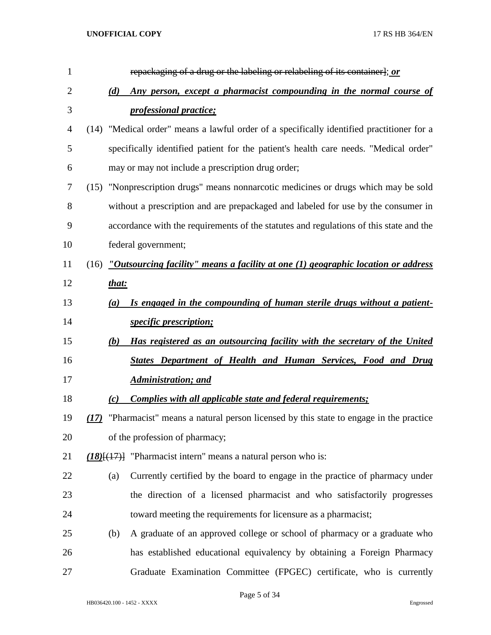| $\mathbf{1}$   | repackaging of a drug or the labeling or relabeling of its container]; or                    |
|----------------|----------------------------------------------------------------------------------------------|
| $\overline{2}$ | Any person, except a pharmacist compounding in the normal course of<br>(d)                   |
| 3              | <i><u><b>professional practice;</b></u></i>                                                  |
| 4              | "Medical order" means a lawful order of a specifically identified practitioner for a<br>(14) |
| 5              | specifically identified patient for the patient's health care needs. "Medical order"         |
| 6              | may or may not include a prescription drug order;                                            |
| 7              | "Nonprescription drugs" means nonnarcotic medicines or drugs which may be sold<br>(15)       |
| 8              | without a prescription and are prepackaged and labeled for use by the consumer in            |
| 9              | accordance with the requirements of the statutes and regulations of this state and the       |
| 10             | federal government;                                                                          |
| 11             | "Outsourcing facility" means a facility at one $(1)$ geographic location or address<br>(16)  |
| 12             | that:                                                                                        |
| 13             | Is engaged in the compounding of human sterile drugs without a patient-<br>$\left(a\right)$  |
| 14             | <i>specific prescription;</i>                                                                |
| 15             | Has registered as an outsourcing facility with the secretary of the United<br>(b)            |
| 16             | States Department of Health and Human Services, Food and Drug                                |
| 17             | Administration; and                                                                          |
| 18             | <b>Complies with all applicable state and federal requirements;</b><br>(c)                   |
| 19             | "Pharmacist" means a natural person licensed by this state to engage in the practice<br>(17) |
| 20             | of the profession of pharmacy;                                                               |
| 21             | $(18)(17)$ ] "Pharmacist intern" means a natural person who is:                              |
| 22             | Currently certified by the board to engage in the practice of pharmacy under<br>(a)          |
| 23             | the direction of a licensed pharmacist and who satisfactorily progresses                     |
| 24             | toward meeting the requirements for licensure as a pharmacist;                               |
| 25             | A graduate of an approved college or school of pharmacy or a graduate who<br>(b)             |
| 26             | has established educational equivalency by obtaining a Foreign Pharmacy                      |
| 27             | Graduate Examination Committee (FPGEC) certificate, who is currently                         |

Page 5 of 34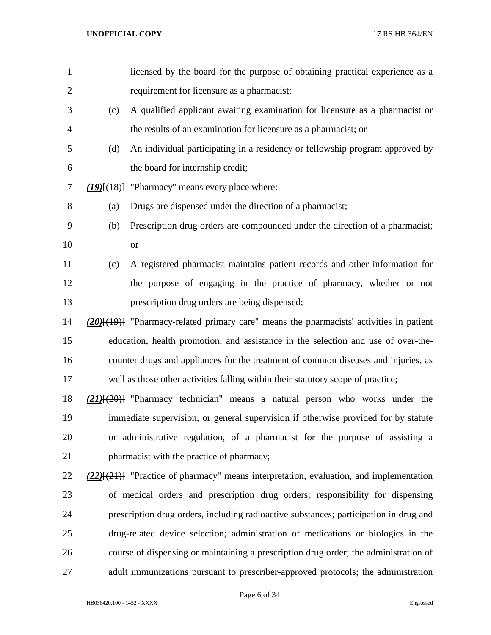| $\mathbf{1}$   |     | licensed by the board for the purpose of obtaining practical experience as a                   |
|----------------|-----|------------------------------------------------------------------------------------------------|
| $\overline{2}$ |     | requirement for licensure as a pharmacist;                                                     |
| 3              | (c) | A qualified applicant awaiting examination for licensure as a pharmacist or                    |
| 4              |     | the results of an examination for licensure as a pharmacist; or                                |
| 5              | (d) | An individual participating in a residency or fellowship program approved by                   |
| 6              |     | the board for internship credit;                                                               |
| 7              |     | $(19)$ [ $(18)$ ] "Pharmacy" means every place where:                                          |
| 8              | (a) | Drugs are dispensed under the direction of a pharmacist;                                       |
| 9              | (b) | Prescription drug orders are compounded under the direction of a pharmacist;                   |
| 10             |     | <b>or</b>                                                                                      |
| 11             | (c) | A registered pharmacist maintains patient records and other information for                    |
| 12             |     | the purpose of engaging in the practice of pharmacy, whether or not                            |
| 13             |     | prescription drug orders are being dispensed;                                                  |
| 14             |     | $(20)$ [ $(19)$ ] "Pharmacy-related primary care" means the pharmacists' activities in patient |
| 15             |     | education, health promotion, and assistance in the selection and use of over-the-              |
| 16             |     | counter drugs and appliances for the treatment of common diseases and injuries, as             |
| 17             |     | well as those other activities falling within their statutory scope of practice;               |
| 18             |     | $(21)$ [ $(20)$ ] "Pharmacy technician" means a natural person who works under the             |
| 19             |     | immediate supervision, or general supervision if otherwise provided for by statute             |
| 20             |     | or administrative regulation, of a pharmacist for the purpose of assisting a                   |
| 21             |     | pharmacist with the practice of pharmacy;                                                      |
| 22             |     | $(22)$ $(21)$ "Practice of pharmacy" means interpretation, evaluation, and implementation      |
| 23             |     | of medical orders and prescription drug orders; responsibility for dispensing                  |
| 24             |     | prescription drug orders, including radioactive substances; participation in drug and          |
| 25             |     | drug-related device selection; administration of medications or biologics in the               |
| 26             |     | course of dispensing or maintaining a prescription drug order; the administration of           |
| 27             |     | adult immunizations pursuant to prescriber-approved protocols; the administration              |

Page 6 of 34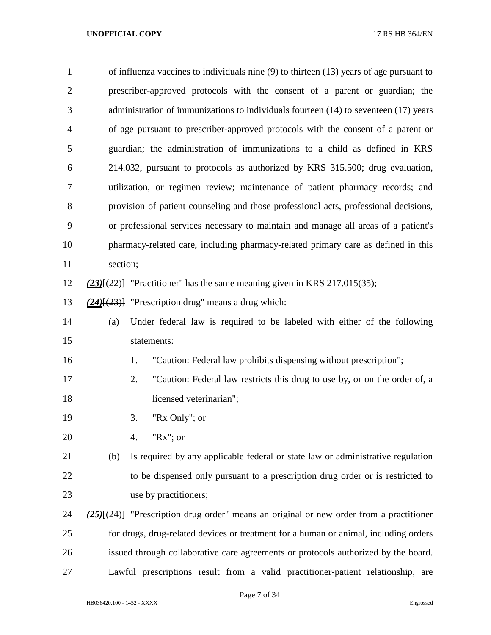| $\mathbf{1}$   | of influenza vaccines to individuals nine (9) to thirteen (13) years of age pursuant to        |  |  |  |
|----------------|------------------------------------------------------------------------------------------------|--|--|--|
| $\overline{2}$ | prescriber-approved protocols with the consent of a parent or guardian; the                    |  |  |  |
| 3              | administration of immunizations to individuals fourteen (14) to seventeen (17) years           |  |  |  |
| 4              | of age pursuant to prescriber-approved protocols with the consent of a parent or               |  |  |  |
| 5              | guardian; the administration of immunizations to a child as defined in KRS                     |  |  |  |
| 6              | 214.032, pursuant to protocols as authorized by KRS 315.500; drug evaluation,                  |  |  |  |
| 7              | utilization, or regimen review; maintenance of patient pharmacy records; and                   |  |  |  |
| 8              | provision of patient counseling and those professional acts, professional decisions,           |  |  |  |
| 9              | or professional services necessary to maintain and manage all areas of a patient's             |  |  |  |
| 10             | pharmacy-related care, including pharmacy-related primary care as defined in this              |  |  |  |
| 11             | section;                                                                                       |  |  |  |
| 12             | $(23)$ [ $(22)$ ] "Practitioner" has the same meaning given in KRS 217.015(35);                |  |  |  |
| 13             | $(24)$ [ $(23)$ ] "Prescription drug" means a drug which:                                      |  |  |  |
| 14             | Under federal law is required to be labeled with either of the following<br>(a)                |  |  |  |
| 15             | statements:                                                                                    |  |  |  |
| 16             | "Caution: Federal law prohibits dispensing without prescription";<br>1.                        |  |  |  |
| 17             | 2.<br>"Caution: Federal law restricts this drug to use by, or on the order of, a               |  |  |  |
| 18             | licensed veterinarian";                                                                        |  |  |  |
| 19             | "Rx Only"; or<br>3.                                                                            |  |  |  |
| 20             | " $Rx$ "; or<br>4.                                                                             |  |  |  |
| 21             | (b)<br>Is required by any applicable federal or state law or administrative regulation         |  |  |  |
| 22             | to be dispensed only pursuant to a prescription drug order or is restricted to                 |  |  |  |
| 23             | use by practitioners;                                                                          |  |  |  |
| 24             | $(25)$ [ $(24)$ ] "Prescription drug order" means an original or new order from a practitioner |  |  |  |
| 25             | for drugs, drug-related devices or treatment for a human or animal, including orders           |  |  |  |
| 26             | issued through collaborative care agreements or protocols authorized by the board.             |  |  |  |
| 27             | Lawful prescriptions result from a valid practitioner-patient relationship, are                |  |  |  |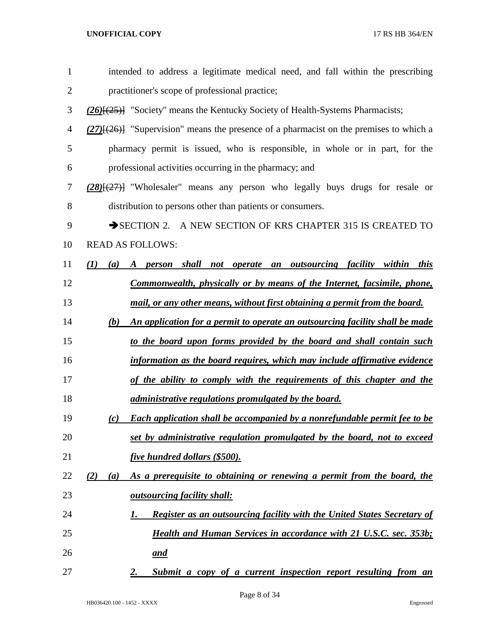| 1              | intended to address a legitimate medical need, and fall within the prescribing                |
|----------------|-----------------------------------------------------------------------------------------------|
| $\overline{2}$ | practitioner's scope of professional practice;                                                |
| 3              | (26) <sup>[(25)]</sup> "Society" means the Kentucky Society of Health-Systems Pharmacists;    |
| 4              | $(27)$ [ $(26)$ ] "Supervision" means the presence of a pharmacist on the premises to which a |
| 5              | pharmacy permit is issued, who is responsible, in whole or in part, for the                   |
| 6              | professional activities occurring in the pharmacy; and                                        |
| 7              | (28)[(27)] "Wholesaler" means any person who legally buys drugs for resale or                 |
| 8              | distribution to persons other than patients or consumers.                                     |
| 9              | SECTION 2. A NEW SECTION OF KRS CHAPTER 315 IS CREATED TO                                     |
| 10             | <b>READ AS FOLLOWS:</b>                                                                       |
| 11             | person shall not operate an outsourcing facility within this<br>(I)<br>(a)<br>$\bm{A}$        |
| 12             | <u>Commonwealth, physically or by means of the Internet, facsimile, phone,</u>                |
| 13             | mail, or any other means, without first obtaining a permit from the board.                    |
| 14             | An application for a permit to operate an outsourcing facility shall be made<br>(b)           |
| 15             | to the board upon forms provided by the board and shall contain such                          |
| 16             | information as the board requires, which may include affirmative evidence                     |
| 17             | of the ability to comply with the requirements of this chapter and the                        |
| 18             | <i>administrative regulations promulgated by the board.</i>                                   |
| 19             | <b>Each application shall be accompanied by a nonrefundable permit fee to be</b><br>(c)       |
| 20             | set by administrative regulation promulgated by the board, not to exceed                      |
| 21             | five hundred dollars (\$500).                                                                 |
| 22             | As a prerequisite to obtaining or renewing a permit from the board, the<br>(2)<br>(a)         |
| 23             | <i><b><u>outsourcing facility shall:</u></b></i>                                              |
| 24             | Register as an outsourcing facility with the United States Secretary of<br>1.                 |
| 25             | <b>Health and Human Services in accordance with 21 U.S.C. sec. 353b;</b>                      |
| 26             | <u>and</u>                                                                                    |
| 27             | Submit a copy of a current inspection report resulting from an<br>2.                          |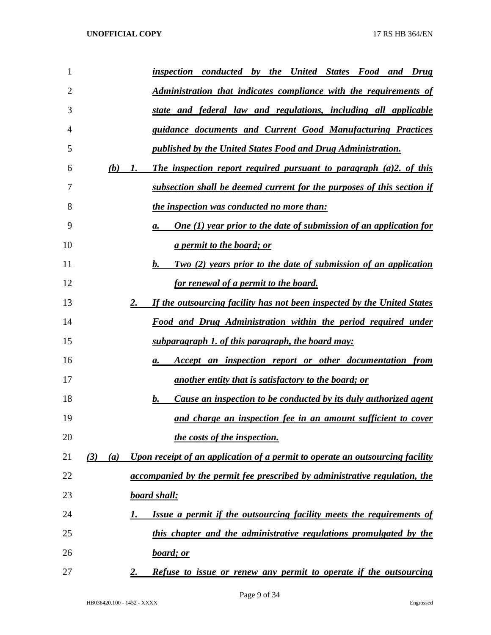| 1  |            | inspection conducted by the United States Food and Drug                         |
|----|------------|---------------------------------------------------------------------------------|
| 2  |            | Administration that indicates compliance with the requirements of               |
| 3  |            | state and federal law and regulations, including all applicable                 |
| 4  |            | guidance documents and Current Good Manufacturing Practices                     |
| 5  |            | <u>published by the United States Food and Drug Administration.</u>             |
| 6  | (b)<br>1.  | The inspection report required pursuant to paragraph $(a)2$ , of this           |
| 7  |            | subsection shall be deemed current for the purposes of this section if          |
| 8  |            | the inspection was conducted no more than:                                      |
| 9  |            | <b>One (1) year prior to the date of submission of an application for</b><br>а. |
| 10 |            | <i>a permit to the board; or</i>                                                |
| 11 |            | <u>Two (2) years prior to the date of submission of an application</u><br>b.    |
| 12 |            | <u>for renewal of a permit to the board.</u>                                    |
| 13 | 2.         | If the outsourcing facility has not been inspected by the United States         |
| 14 |            | Food and Drug Administration within the period required under                   |
| 15 |            | <u>subparagraph 1. of this paragraph, the board may:</u>                        |
| 16 |            | Accept an inspection report or other documentation from<br>а.                   |
| 17 |            | <u>another entity that is satisfactory to the board; or</u>                     |
| 18 |            | <u>Cause an inspection to be conducted by its duly authorized agent</u><br>b.   |
| 19 |            | and charge an inspection fee in an amount sufficient to cover                   |
| 20 |            | the costs of the inspection.                                                    |
| 21 | (3)<br>(a) | Upon receipt of an application of a permit to operate an outsourcing facility   |
| 22 |            | accompanied by the permit fee prescribed by administrative regulation, the      |
| 23 |            | <u>board shall:</u>                                                             |
| 24 | 1.         | Issue a permit if the outsourcing facility meets the requirements of            |
| 25 |            | this chapter and the administrative regulations promulgated by the              |
| 26 |            | <u>board; or</u>                                                                |
| 27 | 2.         | Refuse to issue or renew any permit to operate if the outsourcing               |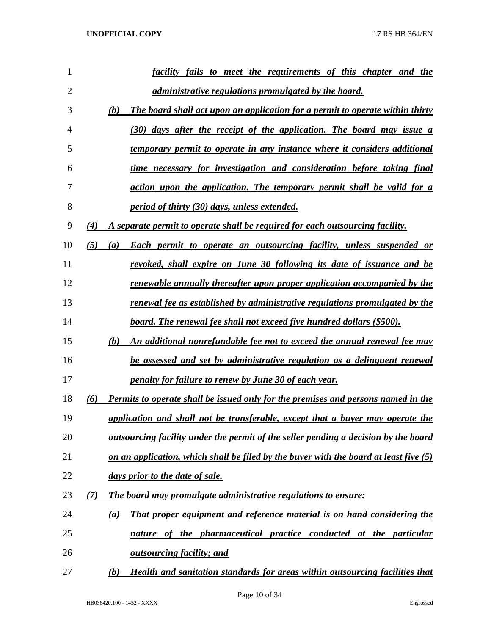| 1              |     | facility fails to meet the requirements of this chapter and the                            |
|----------------|-----|--------------------------------------------------------------------------------------------|
| $\overline{2}$ |     | <i>administrative regulations promulgated by the board.</i>                                |
| 3              |     | (b)<br>The board shall act upon an application for a permit to operate within thirty       |
| 4              |     | (30) days after the receipt of the application. The board may issue a                      |
| 5              |     | temporary permit to operate in any instance where it considers additional                  |
| 6              |     | time necessary for investigation and consideration before taking final                     |
| 7              |     | action upon the application. The temporary permit shall be valid for a                     |
| 8              |     | <i>period of thirty (30) days, unless extended.</i>                                        |
| 9              | (4) | A separate permit to operate shall be required for each outsourcing facility.              |
| 10             | (5) | <b>Each permit to operate an outsourcing facility, unless suspended or</b><br>(a)          |
| 11             |     | revoked, shall expire on June 30 following its date of issuance and be                     |
| 12             |     | renewable annually thereafter upon proper application accompanied by the                   |
| 13             |     | renewal fee as established by administrative regulations promulgated by the                |
| 14             |     | board. The renewal fee shall not exceed five hundred dollars (\$500).                      |
| 15             |     | (b)<br>An additional nonrefundable fee not to exceed the annual renewal fee may            |
| 16             |     | be assessed and set by administrative regulation as a delinguent renewal                   |
| 17             |     | penalty for failure to renew by June 30 of each year.                                      |
| 18             | (6) | Permits to operate shall be issued only for the premises and persons named in the          |
| 19             |     | application and shall not be transferable, except that a buyer may operate the             |
| 20             |     | <u>outsourcing facility under the permit of the seller pending a decision by the board</u> |
| 21             |     | on an application, which shall be filed by the buyer with the board at least five $(5)$    |
| 22             |     | days prior to the date of sale.                                                            |
| 23             | (7) | The board may promulgate administrative regulations to ensure:                             |
| 24             |     | <b>That proper equipment and reference material is on hand considering the</b><br>(a)      |
| 25             |     | nature of the pharmaceutical practice conducted at the particular                          |
| 26             |     | <u>outsourcing facility; and</u>                                                           |
| 27             |     | Health and sanitation standards for areas within outsourcing facilities that<br>(b)        |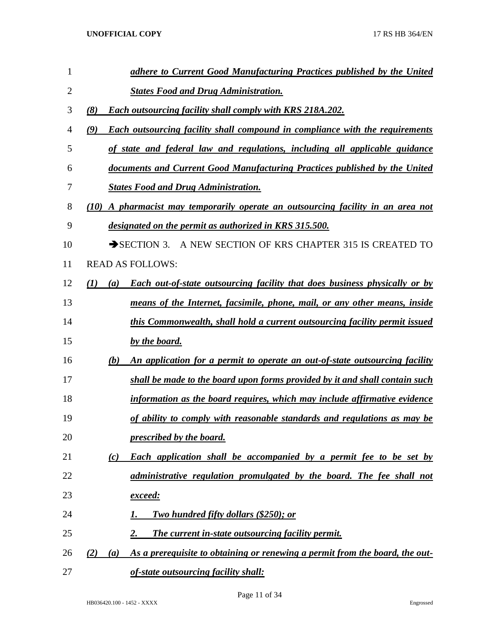| 1              |                                                                         | adhere to Current Good Manufacturing Practices published by the United              |  |  |  |  |
|----------------|-------------------------------------------------------------------------|-------------------------------------------------------------------------------------|--|--|--|--|
| $\overline{2}$ |                                                                         | <b>States Food and Drug Administration.</b>                                         |  |  |  |  |
| 3              | (8)<br><b>Each outsourcing facility shall comply with KRS 218A.202.</b> |                                                                                     |  |  |  |  |
| 4              | (9)                                                                     | <b>Each outsourcing facility shall compound in compliance with the requirements</b> |  |  |  |  |
| 5              |                                                                         | of state and federal law and regulations, including all applicable guidance         |  |  |  |  |
| 6              |                                                                         | documents and Current Good Manufacturing Practices published by the United          |  |  |  |  |
| 7              |                                                                         | <b>States Food and Drug Administration.</b>                                         |  |  |  |  |
| 8              | (10)                                                                    | A pharmacist may temporarily operate an outsourcing facility in an area not         |  |  |  |  |
| 9              |                                                                         | designated on the permit as authorized in KRS 315.500.                              |  |  |  |  |
| 10             |                                                                         | $\rightarrow$ SECTION 3.<br>A NEW SECTION OF KRS CHAPTER 315 IS CREATED TO          |  |  |  |  |
| 11             |                                                                         | <b>READ AS FOLLOWS:</b>                                                             |  |  |  |  |
| 12             | (I)<br>(a)                                                              | <b>Each out-of-state outsourcing facility that does business physically or by</b>   |  |  |  |  |
| 13             |                                                                         | means of the Internet, facsimile, phone, mail, or any other means, inside           |  |  |  |  |
| 14             |                                                                         | this Commonwealth, shall hold a current outsourcing facility permit issued          |  |  |  |  |
| 15             |                                                                         | by the board.                                                                       |  |  |  |  |
| 16             | (b)                                                                     | An application for a permit to operate an out-of-state outsourcing facility         |  |  |  |  |
| 17             |                                                                         | shall be made to the board upon forms provided by it and shall contain such         |  |  |  |  |
| 18             |                                                                         | information as the board requires, which may include affirmative evidence           |  |  |  |  |
| 19             |                                                                         | of ability to comply with reasonable standards and regulations as may be            |  |  |  |  |
| 20             |                                                                         | prescribed by the board.                                                            |  |  |  |  |
| 21             | (c)                                                                     | <b>Each application shall be accompanied by a permit fee to be set by</b>           |  |  |  |  |
| 22             |                                                                         | administrative regulation promulgated by the board. The fee shall not               |  |  |  |  |
| 23             |                                                                         | <u>exceed:</u>                                                                      |  |  |  |  |
| 24             |                                                                         | <b>Two hundred fifty dollars (\$250); or</b><br>1.                                  |  |  |  |  |
| 25             |                                                                         | The current in-state outsourcing facility permit.<br>2.                             |  |  |  |  |
| 26             | (2)<br>(a)                                                              | As a prerequisite to obtaining or renewing a permit from the board, the out-        |  |  |  |  |
| 27             |                                                                         | of-state outsourcing facility shall:                                                |  |  |  |  |

Page 11 of 34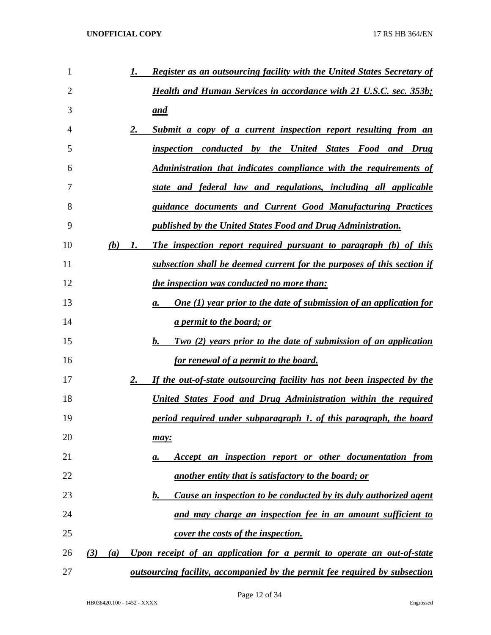| 1  |     |     | 1. | <b>Register as an outsourcing facility with the United States Secretary of</b>     |
|----|-----|-----|----|------------------------------------------------------------------------------------|
| 2  |     |     |    | <b>Health and Human Services in accordance with 21 U.S.C. sec. 353b;</b>           |
| 3  |     |     |    | and                                                                                |
| 4  |     |     | 2. | Submit a copy of a current inspection report resulting from an                     |
| 5  |     |     |    | inspection conducted by the United States Food and Drug                            |
| 6  |     |     |    | <b>Administration that indicates compliance with the requirements of</b>           |
| 7  |     |     |    | state and federal law and regulations, including all applicable                    |
| 8  |     |     |    | guidance documents and Current Good Manufacturing Practices                        |
| 9  |     |     |    | published by the United States Food and Drug Administration.                       |
| 10 |     | (b) | 1. | The inspection report required pursuant to paragraph (b) of this                   |
| 11 |     |     |    | subsection shall be deemed current for the purposes of this section if             |
| 12 |     |     |    | the inspection was conducted no more than:                                         |
| 13 |     |     |    | <b>One (1) year prior to the date of submission of an application for</b><br>a.    |
| 14 |     |     |    | <i>a permit to the board; or</i>                                                   |
| 15 |     |     |    | Two (2) years prior to the date of submission of an application<br>b.              |
| 16 |     |     |    | <u>for renewal of a permit to the board.</u>                                       |
| 17 |     |     | 2. | If the out-of-state outsourcing facility has not been inspected by the             |
| 18 |     |     |    | United States Food and Drug Administration within the required                     |
| 19 |     |     |    | period required under subparagraph 1. of this paragraph, the board                 |
| 20 |     |     |    | may:                                                                               |
| 21 |     |     |    | Accept an inspection report or other documentation from<br>а.                      |
| 22 |     |     |    | another entity that is satisfactory to the board; or                               |
| 23 |     |     |    | Cause an inspection to be conducted by its duly authorized agent<br>$\mathbf{b}$ . |
| 24 |     |     |    | and may charge an inspection fee in an amount sufficient to                        |
| 25 |     |     |    | <u>cover the costs of the inspection.</u>                                          |
| 26 | (3) | (a) |    | Upon receipt of an application for a permit to operate an out-of-state             |
| 27 |     |     |    | <u>outsourcing facility, accompanied by the permit fee required by subsection</u>  |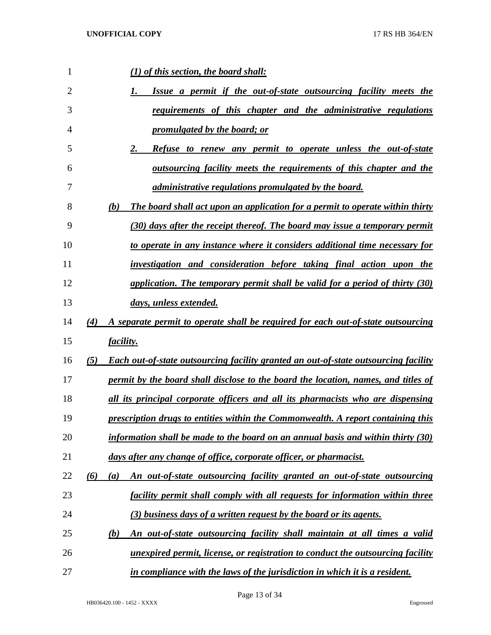| 1              | (1) of this section, the board shall:                                                               |
|----------------|-----------------------------------------------------------------------------------------------------|
| $\overline{2}$ | Issue a permit if the out-of-state outsourcing facility meets the<br>I.                             |
| 3              | requirements of this chapter and the administrative regulations                                     |
| 4              | <u>promulgated by the board; or</u>                                                                 |
| 5              | <b>Refuse to renew any permit to operate unless the out-of-state</b><br>2.                          |
| 6              | outsourcing facility meets the requirements of this chapter and the                                 |
| 7              | <i>administrative regulations promulgated by the board.</i>                                         |
| 8              | The board shall act upon an application for a permit to operate within thirty<br><b>(b)</b>         |
| 9              | (30) days after the receipt thereof. The board may issue a temporary permit                         |
| 10             | to operate in any instance where it considers additional time necessary for                         |
| 11             | investigation and consideration before taking final action upon the                                 |
| 12             | application. The temporary permit shall be valid for a period of thirty (30)                        |
| 13             | days, unless extended.                                                                              |
| 14             | A separate permit to operate shall be required for each out-of-state outsourcing<br>(4)             |
| 15             | facility.                                                                                           |
| 16             | <b>Each out-of-state outsourcing facility granted an out-of-state outsourcing facility</b><br>(5)   |
| 17             | permit by the board shall disclose to the board the location, names, and titles of                  |
| 18             | all its principal corporate officers and all its pharmacists who are dispensing                     |
| 19             | prescription drugs to entities within the Commonwealth. A report containing this                    |
| 20             | information shall be made to the board on an annual basis and within thirty $(30)$                  |
| 21             | days after any change of office, corporate officer, or pharmacist.                                  |
| 22             | An out-of-state outsourcing facility granted an out-of-state outsourcing<br>(6)<br>$\left(a\right)$ |
| 23             | facility permit shall comply with all requests for information within three                         |
| 24             | (3) business days of a written request by the board or its agents.                                  |
| 25             | An out-of-state outsourcing facility shall maintain at all times a valid<br>(b)                     |
| 26             | unexpired permit, license, or registration to conduct the outsourcing facility                      |
| 27             | in compliance with the laws of the jurisdiction in which it is a resident.                          |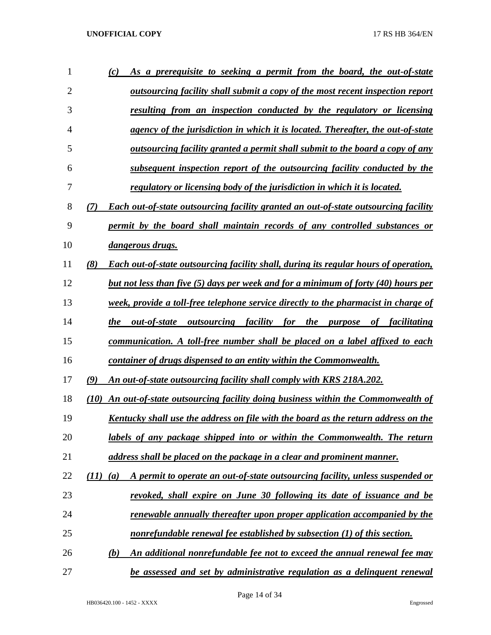| 1              | As a prerequisite to seeking a permit from the board, the out-of-state<br>(c)                     |
|----------------|---------------------------------------------------------------------------------------------------|
| $\overline{2}$ | outsourcing facility shall submit a copy of the most recent inspection report                     |
| 3              | resulting from an inspection conducted by the regulatory or licensing                             |
| 4              | agency of the jurisdiction in which it is located. Thereafter, the out-of-state                   |
| 5              | outsourcing facility granted a permit shall submit to the board a copy of any                     |
| 6              | subsequent inspection report of the outsourcing facility conducted by the                         |
| 7              | regulatory or licensing body of the jurisdiction in which it is located.                          |
| 8              | <b>Each out-of-state outsourcing facility granted an out-of-state outsourcing facility</b><br>(7) |
| 9              | permit by the board shall maintain records of any controlled substances or                        |
| 10             | dangerous drugs.                                                                                  |
| 11             | (8)<br>Each out-of-state outsourcing facility shall, during its regular hours of operation,       |
| 12             | but not less than five (5) days per week and for a minimum of forty (40) hours per                |
| 13             | week, provide a toll-free telephone service directly to the pharmacist in charge of               |
| 14             | the<br>out-of-state<br>outsourcing facility for the purpose of facilitating                       |
| 15             | communication. A toll-free number shall be placed on a label affixed to each                      |
| 16             | container of drugs dispensed to an entity within the Commonwealth.                                |
| 17             | (9)<br>An out-of-state outsourcing facility shall comply with KRS 218A.202.                       |
| 18             | An out-of-state outsourcing facility doing business within the Commonwealth of<br>(10)            |
| 19             | Kentucky shall use the address on file with the board as the return address on the                |
| 20             | labels of any package shipped into or within the Commonwealth. The return                         |
| 21             | address shall be placed on the package in a clear and prominent manner.                           |
| 22             | A permit to operate an out-of-state outsourcing facility, unless suspended or<br>(11)<br>(a)      |
| 23             | revoked, shall expire on June 30 following its date of issuance and be                            |
| 24             | <u>renewable annually thereafter upon proper application accompanied by the</u>                   |
| 25             | nonrefundable renewal fee established by subsection (1) of this section.                          |
| 26             | An additional nonrefundable fee not to exceed the annual renewal fee may<br>(b)                   |
| 27             | be assessed and set by administrative regulation as a delinguent renewal                          |

Page 14 of 34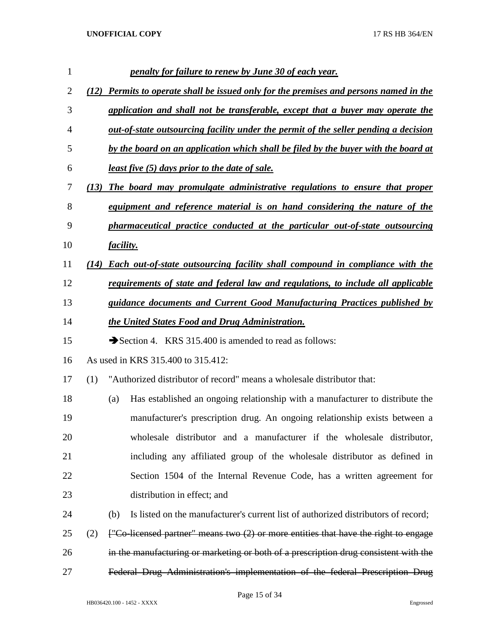|     |     | penalty for failure to renew by June 30 of each year.                                    |
|-----|-----|------------------------------------------------------------------------------------------|
|     |     | <b>Permits to operate shall be issued only for the premises and persons named in the</b> |
|     |     | application and shall not be transferable, except that a buyer may operate the           |
|     |     | out-of-state outsourcing facility under the permit of the seller pending a decision      |
|     |     | by the board on an application which shall be filed by the buyer with the board at       |
|     |     | <u>least five (5) days prior to the date of sale.</u>                                    |
|     |     | The board may promulgate administrative regulations to ensure that proper                |
|     |     | equipment and reference material is on hand considering the nature of the                |
|     |     | pharmaceutical practice conducted at the particular out-of-state outsourcing             |
|     |     |                                                                                          |
|     |     | <b>Each out-of-state outsourcing facility shall compound in compliance with the</b>      |
|     |     | requirements of state and federal law and regulations, to include all applicable         |
|     |     | guidance documents and Current Good Manufacturing Practices published by                 |
|     |     | the United States Food and Drug Administration.                                          |
|     |     | Section 4. KRS 315.400 is amended to read as follows:                                    |
|     |     | As used in KRS 315.400 to 315.412:                                                       |
| (1) |     | "Authorized distributor of record" means a wholesale distributor that:                   |
|     | (a) | Has established an ongoing relationship with a manufacturer to distribute the            |
|     |     | manufacturer's prescription drug. An ongoing relationship exists between a               |
|     |     | wholesale distributor and a manufacturer if the wholesale distributor,                   |
|     |     | including any affiliated group of the wholesale distributor as defined in                |
|     |     | Section 1504 of the Internal Revenue Code, has a written agreement for                   |
|     |     | distribution in effect; and                                                              |
|     | (b) | Is listed on the manufacturer's current list of authorized distributors of record;       |
| (2) |     | ["Co-licensed partner" means two (2) or more entities that have the right to engage      |
|     |     | in the manufacturing or marketing or both of a prescription drug consistent with the     |
|     |     | Federal Drug Administration's implementation of the federal Prescription Drug            |
|     |     | (12)<br>(13)<br><i>facility.</i><br>(14)                                                 |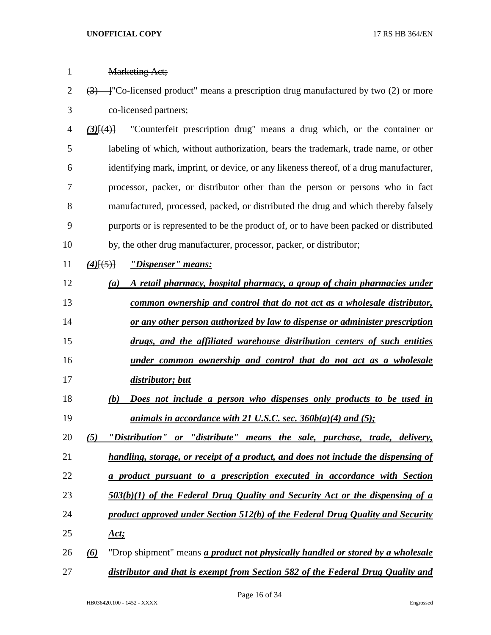| 1              | <b>Marketing Act;</b>                                                                                                    |
|----------------|--------------------------------------------------------------------------------------------------------------------------|
| $\overline{2}$ | $\left(\frac{3}{2}\right)$ - T <sup>o</sup> -licensed product" means a prescription drug manufactured by two (2) or more |
| 3              | co-licensed partners;                                                                                                    |
| 4              | "Counterfeit prescription drug" means a drug which, or the container or<br>$(3)$ [ $(4)$ ]                               |
| 5              | labeling of which, without authorization, bears the trademark, trade name, or other                                      |
| 6              | identifying mark, imprint, or device, or any likeness thereof, of a drug manufacturer,                                   |
| 7              | processor, packer, or distributor other than the person or persons who in fact                                           |
| 8              | manufactured, processed, packed, or distributed the drug and which thereby falsely                                       |
| 9              | purports or is represented to be the product of, or to have been packed or distributed                                   |
| 10             | by, the other drug manufacturer, processor, packer, or distributor;                                                      |
| 11             | "Dispenser" means:<br>$(4)$ [(5)]                                                                                        |
| 12             | A retail pharmacy, hospital pharmacy, a group of chain pharmacies under<br>(a)                                           |
| 13             | common ownership and control that do not act as a wholesale distributor,                                                 |
| 14             | or any other person authorized by law to dispense or administer prescription                                             |
| 15             | drugs, and the affiliated warehouse distribution centers of such entities                                                |
| 16             | under common ownership and control that do not act as a wholesale                                                        |
| 17             | distributor; but                                                                                                         |
| 18             | Does not include a person who dispenses only products to be used in<br>(b)                                               |
| 19             | animals in accordance with 21 U.S.C. sec. $360b(a)(4)$ and $(5)$ ;                                                       |
| 20             | "Distribution" or "distribute" means the sale, purchase, trade, delivery,<br>(5)                                         |
| 21             | handling, storage, or receipt of a product, and does not include the dispensing of                                       |
| 22             | a product pursuant to a prescription executed in accordance with Section                                                 |
| 23             | $503(b)(1)$ of the Federal Drug Quality and Security Act or the dispensing of a                                          |
| 24             | product approved under Section 512(b) of the Federal Drug Quality and Security                                           |
| 25             | <u>Act;</u>                                                                                                              |
| 26             | "Drop shipment" means <i>a product not physically handled or stored by a wholesale</i><br>$\omega$                       |
| 27             | distributor and that is exempt from Section 582 of the Federal Drug Quality and                                          |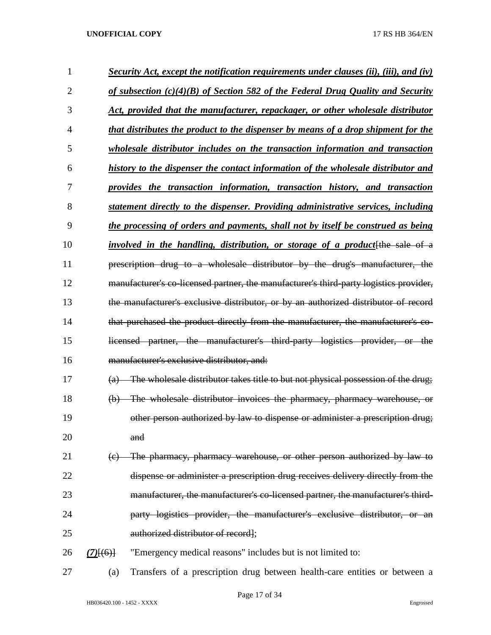| 1              |             | <b>Security Act, except the notification requirements under clauses (ii), (iii), and (iv)</b>       |
|----------------|-------------|-----------------------------------------------------------------------------------------------------|
| $\overline{2}$ |             | <u>of subsection <math>(c)(4)(B)</math> of Section 582 of the Federal Drug Quality and Security</u> |
| 3              |             | Act, provided that the manufacturer, repackager, or other wholesale distributor                     |
| 4              |             | that distributes the product to the dispenser by means of a drop shipment for the                   |
| 5              |             | <i>wholesale distributor includes on the transaction information and transaction</i>                |
| 6              |             | history to the dispenser the contact information of the wholesale distributor and                   |
| 7              |             | provides the transaction information, transaction history, and transaction                          |
| 8              |             | statement directly to the dispenser. Providing administrative services, including                   |
| 9              |             | the processing of orders and payments, shall not by itself be construed as being                    |
| 10             |             | <i>involved in the handling, distribution, or storage of a product</i> [the sale of a               |
| 11             |             | prescription drug to a wholesale distributor by the drug's manufacturer, the                        |
| 12             |             | manufacturer's co-licensed partner, the manufacturer's third-party logistics provider,              |
| 13             |             | the manufacturer's exclusive distributor, or by an authorized distributor of record                 |
| 14             |             | that purchased the product directly from the manufacturer, the manufacturer's co-                   |
| 15             |             | licensed partner, the manufacturer's third-party logistics provider, or the                         |
| 16             |             | manufacturer's exclusive distributor, and:                                                          |
| 17             | (a)         | The wholesale distributor takes title to but not physical possession of the drug;                   |
| 18             | $\Theta$    | The wholesale distributor invoices the pharmacy, pharmacy warehouse, or                             |
| 19             |             | other person authorized by law to dispense or administer a prescription drug;                       |
| 20             |             | and                                                                                                 |
| 21             | (e)         | The pharmacy, pharmacy warehouse, or other person authorized by law to                              |
| 22             |             | dispense or administer a prescription drug receives delivery directly from the                      |
| 23             |             | manufacturer, the manufacturer's co-licensed partner, the manufacturer's third-                     |
| 24             |             | party logistics provider, the manufacturer's exclusive distributor, or an                           |
| 25             |             | authorized distributor of record];                                                                  |
| 26             | $(7)$ [(6)] | "Emergency medical reasons" includes but is not limited to:                                         |
| 27             | (a)         | Transfers of a prescription drug between health-care entities or between a                          |

Page 17 of 34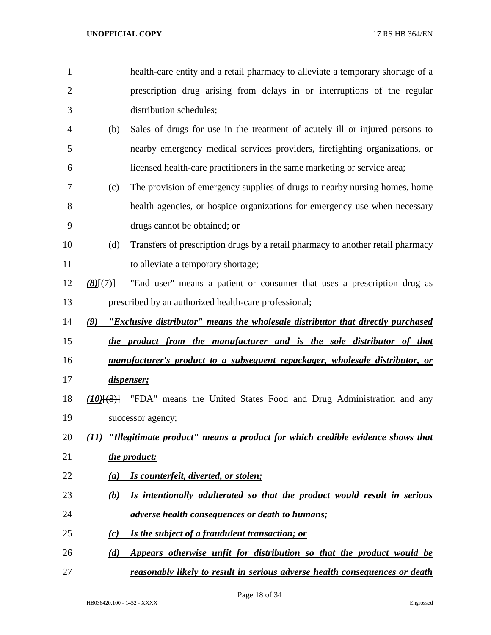| 1              |                                | health-care entity and a retail pharmacy to alleviate a temporary shortage of a    |
|----------------|--------------------------------|------------------------------------------------------------------------------------|
| $\overline{2}$ |                                | prescription drug arising from delays in or interruptions of the regular           |
| 3              |                                | distribution schedules;                                                            |
| 4              | (b)                            | Sales of drugs for use in the treatment of acutely ill or injured persons to       |
| 5              |                                | nearby emergency medical services providers, firefighting organizations, or        |
| 6              |                                | licensed health-care practitioners in the same marketing or service area;          |
| 7              | (c)                            | The provision of emergency supplies of drugs to nearby nursing homes, home         |
| 8              |                                | health agencies, or hospice organizations for emergency use when necessary         |
| 9              |                                | drugs cannot be obtained; or                                                       |
| 10             | (d)                            | Transfers of prescription drugs by a retail pharmacy to another retail pharmacy    |
| 11             |                                | to alleviate a temporary shortage;                                                 |
| 12             | $(8)$ $\{$ <sup>(7)</sup> $\}$ | "End user" means a patient or consumer that uses a prescription drug as            |
| 13             |                                | prescribed by an authorized health-care professional;                              |
| 14             | (9)                            | "Exclusive distributor" means the wholesale distributor that directly purchased    |
| 15             |                                | the product from the manufacturer and is the sole distributor of that              |
| 16             |                                | manufacturer's product to a subsequent repackager, wholesale distributor, or       |
| 17             |                                | dispenser;                                                                         |
| 18             | $(10)$ $(8)$ }                 | "FDA" means the United States Food and Drug Administration and any                 |
| 19             |                                | successor agency;                                                                  |
| 20             | (11)                           | "Illegitimate product" means a product for which credible evidence shows that      |
| 21             |                                | the product:                                                                       |
| 22             | (a)                            | Is counterfeit, diverted, or stolen;                                               |
| 23             | (b)                            | Is intentionally adulterated so that the product would result in serious           |
| 24             |                                | <i>adverse health consequences or death to humans;</i>                             |
| 25             | (c)                            | Is the subject of a fraudulent transaction; or                                     |
| 26             | (d)                            | Appears otherwise unfit for distribution so that the product would be              |
| 27             |                                | <u>reasonably likely to result in serious adverse health consequences or death</u> |

Page 18 of 34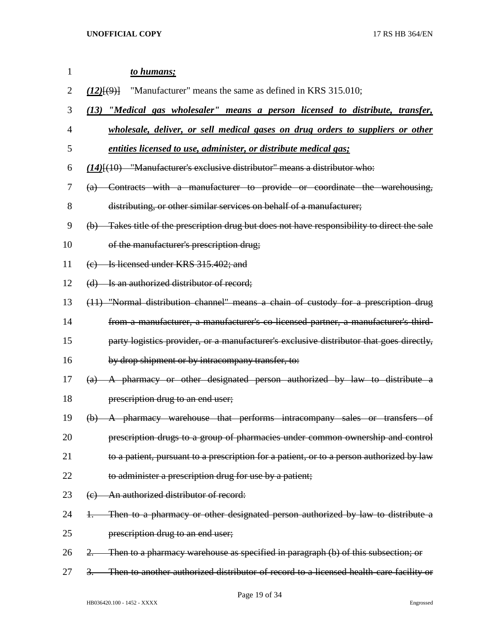| $\mathbf{1}$ | to humans;                                                                                   |
|--------------|----------------------------------------------------------------------------------------------|
| 2            | "Manufacturer" means the same as defined in KRS 315.010;<br>(12)(9)                          |
| 3            | (13) "Medical gas wholesaler" means a person licensed to distribute, transfer,               |
| 4            | wholesale, deliver, or sell medical gases on drug orders to suppliers or other               |
| 5            | entities licensed to use, administer, or distribute medical gas;                             |
| 6            | $(14)$ $(10)$ "Manufacturer's exclusive distributor" means a distributor who:                |
| 7            | (a) Contracts with a manufacturer to provide or coordinate the warehousing,                  |
| 8            | distributing, or other similar services on behalf of a manufacturer;                         |
| 9            | (b) Takes title of the prescription drug but does not have responsibility to direct the sale |
| 10           | of the manufacturer's prescription drug;                                                     |
| 11           | (e) Is licensed under KRS 315.402; and                                                       |
| 12           | (d) Is an authorized distributor of record;                                                  |
| 13           | (11) "Normal distribution channel" means a chain of custody for a prescription drug          |
| 14           | from a manufacturer, a manufacturer's co-licensed partner, a manufacturer's third-           |
| 15           | party logistics provider, or a manufacturer's exclusive distributor that goes directly,      |
| 16           | by drop shipment or by intracompany transfer, to:                                            |
| 17           | (a) A pharmacy or other designated person authorized by law to distribute a                  |
| 18           | prescription drug to an end user;                                                            |
| 19           | (b) A pharmacy warehouse that performs intracompany sales or transfers of                    |
| 20           | prescription drugs to a group of pharmacies under common ownership and control               |
| 21           | to a patient, pursuant to a prescription for a patient, or to a person authorized by law     |
| 22           | to administer a prescription drug for use by a patient;                                      |
| 23           | (e) An authorized distributor of record:                                                     |
| 24           | Then to a pharmacy or other designated person authorized by law to distribute a<br>Ŧ.        |
| 25           | prescription drug to an end user;                                                            |
| 26           | Then to a pharmacy warehouse as specified in paragraph (b) of this subsection; or            |
| 27           | Then to another authorized distributor of record to a licensed health-care facility or<br>3. |

Page 19 of 34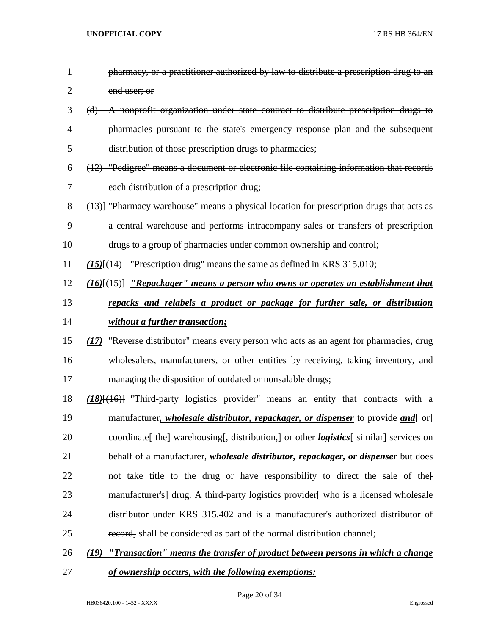| $\mathbf{1}$   | pharmacy, or a practitioner authorized by law to distribute a prescription drug to an            |
|----------------|--------------------------------------------------------------------------------------------------|
| $\overline{2}$ | end user; or                                                                                     |
| 3              | (d) A nonprofit organization under state contract to distribute prescription drugs to            |
| 4              | pharmacies pursuant to the state's emergency response plan and the subsequent                    |
| 5              | distribution of those prescription drugs to pharmacies;                                          |
| 6              | (12) "Pedigree" means a document or electronic file containing information that records          |
| 7              | each distribution of a prescription drug;                                                        |
| 8              | (13)] "Pharmacy warehouse" means a physical location for prescription drugs that acts as         |
| 9              | a central warehouse and performs intracompany sales or transfers of prescription                 |
| 10             | drugs to a group of pharmacies under common ownership and control;                               |
| 11             | $(15)$ [ $(14)$ "Prescription drug" means the same as defined in KRS 315.010;                    |
| 12             | $(16)$ [ $(15)$ ] "Repackager" means a person who owns or operates an establishment that         |
| 13             | repacks and relabels a product or package for further sale, or distribution                      |
| 14             | without a further transaction;                                                                   |
| 15             | (17) "Reverse distributor" means every person who acts as an agent for pharmacies, drug          |
| 16             | wholesalers, manufacturers, or other entities by receiving, taking inventory, and                |
| 17             | managing the disposition of outdated or nonsalable drugs;                                        |
| 18             | $(18)$ [ $(16)$ ] "Third-party logistics provider" means an entity that contracts with a         |
| 19             | manufacturer, <i>wholesale distributor, repackager, or dispenser</i> to provide <i>and</i> [-or] |
| 20             | coordinate [the] warehousing [, distribution,] or other <i>logistics</i> [similar] services on   |
| 21             | behalf of a manufacturer, <i>wholesale distributor, repackager, or dispenser</i> but does        |
| 22             | not take title to the drug or have responsibility to direct the sale of the                      |
| 23             | <b>manufacturer's</b> drug. A third-party logistics provider who is a licensed wholesale         |
| 24             | distributor under KRS 315.402 and is a manufacturer's authorized distributor of                  |
| 25             | record shall be considered as part of the normal distribution channel;                           |
| 26             | "Transaction" means the transfer of product between persons in which a change<br>(19)            |
|                |                                                                                                  |

*of ownership occurs, with the following exemptions:*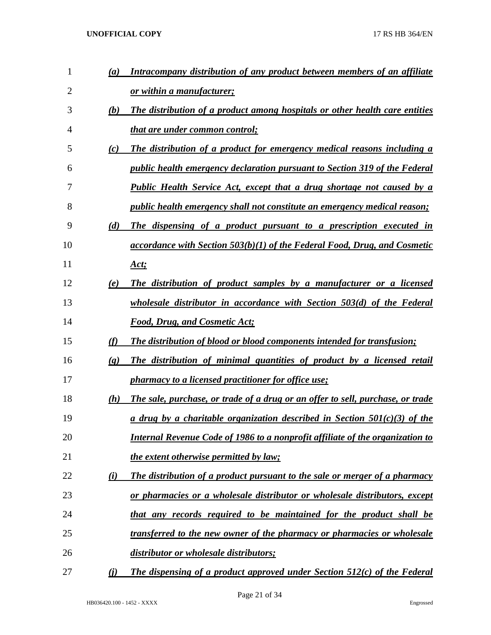| $\mathbf{1}$ | (a)                         | Intracompany distribution of any product between members of an affiliate             |
|--------------|-----------------------------|--------------------------------------------------------------------------------------|
| 2            |                             | or within a manufacturer;                                                            |
| 3            | (b)                         | The distribution of a product among hospitals or other health care entities          |
| 4            |                             | <u>that are under common control;</u>                                                |
| 5            | (c)                         | The distribution of a product for emergency medical reasons including a              |
| 6            |                             | <i>public health emergency declaration pursuant to Section 319 of the Federal</i>    |
| 7            |                             | Public Health Service Act, except that a drug shortage not caused by a               |
| 8            |                             | <i>public health emergency shall not constitute an emergency medical reason;</i>     |
| 9            | (d)                         | The dispensing of a product pursuant to a prescription executed in                   |
| 10           |                             | $accordance$ with Section 503(b)(1) of the Federal Food, Drug, and Cosmetic          |
| 11           |                             | <u>Act;</u>                                                                          |
| 12           | (e)                         | The distribution of product samples by a manufacturer or a licensed                  |
| 13           |                             | wholesale distributor in accordance with Section $503(d)$ of the Federal             |
| 14           |                             | <b>Food, Drug, and Cosmetic Act;</b>                                                 |
| 15           | (f)                         | <b>The distribution of blood or blood components intended for transfusion;</b>       |
| 16           | $\left( \mathbf{g} \right)$ | The distribution of minimal quantities of product by a licensed retail               |
| 17           |                             | <i>pharmacy to a licensed practitioner for office use;</i>                           |
| 18           | (h)                         | The sale, purchase, or trade of a drug or an offer to sell, purchase, or trade       |
| 19           |                             | a drug by a charitable organization described in Section $50I(c)(3)$ of the          |
| 20           |                             | <u>Internal Revenue Code of 1986 to a nonprofit affiliate of the organization to</u> |
| 21           |                             | the extent otherwise permitted by law;                                               |
| 22           | (i)                         | <b>The distribution of a product pursuant to the sale or merger of a pharmacy</b>    |
| 23           |                             | <u>or pharmacies or a wholesale distributor or wholesale distributors, except</u>    |
| 24           |                             | that any records required to be maintained for the product shall be                  |
| 25           |                             | transferred to the new owner of the pharmacy or pharmacies or wholesale              |
| 26           |                             | distributor or wholesale distributors;                                               |
| 27           | <u>(i)</u>                  | The dispensing of a product approved under Section $512(c)$ of the Federal           |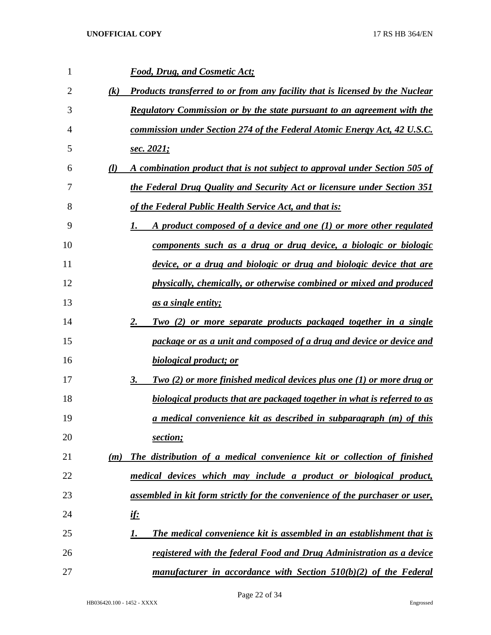| 1              |                   | <b>Food, Drug, and Cosmetic Act;</b>                                            |
|----------------|-------------------|---------------------------------------------------------------------------------|
| $\overline{2}$ | $\left( k\right)$ | Products transferred to or from any facility that is licensed by the Nuclear    |
| 3              |                   | Regulatory Commission or by the state pursuant to an agreement with the         |
| 4              |                   | commission under Section 274 of the Federal Atomic Energy Act, 42 U.S.C.        |
| 5              |                   | <u>sec. 2021;</u>                                                               |
| 6              | $\mathcal{U}$     | A combination product that is not subject to approval under Section 505 of      |
| 7              |                   | the Federal Drug Quality and Security Act or licensure under Section 351        |
| 8              |                   | of the Federal Public Health Service Act, and that is:                          |
| 9              |                   | A product composed of a device and one (1) or more other regulated<br>1.        |
| 10             |                   | components such as a drug or drug device, a biologic or biologic                |
| 11             |                   | device, or a drug and biologic or drug and biologic device that are             |
| 12             |                   | physically, chemically, or otherwise combined or mixed and produced             |
| 13             |                   | <u>as a single entity;</u>                                                      |
| 14             |                   | Two (2) or more separate products packaged together in a single<br>2.           |
| 15             |                   | package or as a unit and composed of a drug and device or device and            |
| 16             |                   | <b>biological product; or</b>                                                   |
| 17             |                   | Two (2) or more finished medical devices plus one (1) or more drug or<br>3.     |
| 18             |                   | <b>biological products that are packaged together in what is referred to as</b> |
| 19             |                   | a medical convenience kit as described in subparagraph (m) of this              |
| 20             |                   | section;                                                                        |
| 21             | (m)               | The distribution of a medical convenience kit or collection of finished         |
| 22             |                   | medical devices which may include a product or biological product,              |
| 23             |                   | assembled in kit form strictly for the convenience of the purchaser or user,    |
| 24             |                   | <u>if:</u>                                                                      |
| 25             |                   | The medical convenience kit is assembled in an establishment that is<br>1.      |
| 26             |                   | registered with the federal Food and Drug Administration as a device            |
| 27             |                   | manufacturer in accordance with Section 510(b)(2) of the Federal                |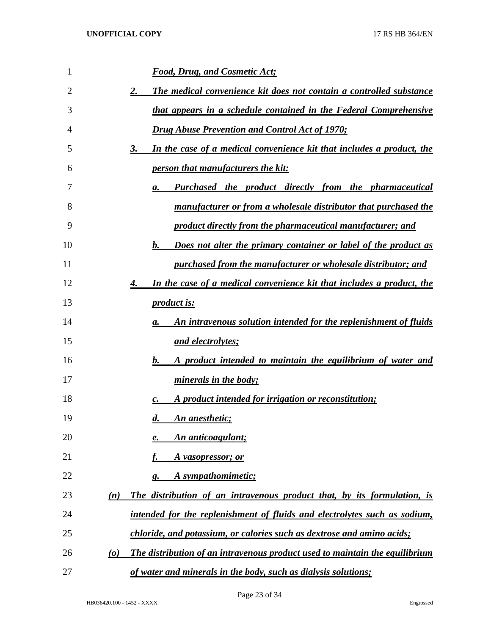| 1  | <b>Food, Drug, and Cosmetic Act;</b>                                                                 |
|----|------------------------------------------------------------------------------------------------------|
| 2  | The medical convenience kit does not contain a controlled substance<br>2.                            |
| 3  | that appears in a schedule contained in the Federal Comprehensive                                    |
| 4  | <b>Drug Abuse Prevention and Control Act of 1970;</b>                                                |
| 5  | In the case of a medical convenience kit that includes a product, the<br>3.                          |
| 6  | <i><u><b>person that manufacturers the kit:</b></u></i>                                              |
| 7  | <b>Purchased the product directly from the pharmaceutical</b><br>а.                                  |
| 8  | <u>manufacturer or from a wholesale distributor that purchased the</u>                               |
| 9  | product directly from the pharmaceutical manufacturer; and                                           |
| 10 | Does not alter the primary container or label of the product as<br>$\mathbf{b}$ .                    |
| 11 | purchased from the manufacturer or wholesale distributor; and                                        |
| 12 | In the case of a medical convenience kit that includes a product, the<br>4.                          |
| 13 | <i>product is:</i>                                                                                   |
| 14 | An intravenous solution intended for the replenishment of fluids<br>а.                               |
| 15 | <u>and electrolytes;</u>                                                                             |
| 16 | A product intended to maintain the equilibrium of water and<br>$\mathbf{b}$ .                        |
| 17 | minerals in the body;                                                                                |
| 18 | A product intended for irrigation or reconstitution;<br>c.                                           |
| 19 | <b>An anesthetic;</b><br>$\boldsymbol{d}$ .                                                          |
| 20 | An anticoagulant;<br>е.                                                                              |
| 21 | A vasopressor; or                                                                                    |
| 22 | A sympathomimetic;<br>g.                                                                             |
| 23 | The distribution of an intravenous product that, by its formulation, is<br>(n)                       |
| 24 | intended for the replenishment of fluids and electrolytes such as sodium,                            |
| 25 | chloride, and potassium, or calories such as dextrose and amino acids;                               |
| 26 | The distribution of an intravenous product used to maintain the equilibrium<br>$\boldsymbol{\omega}$ |
| 27 | of water and minerals in the body, such as dialysis solutions;                                       |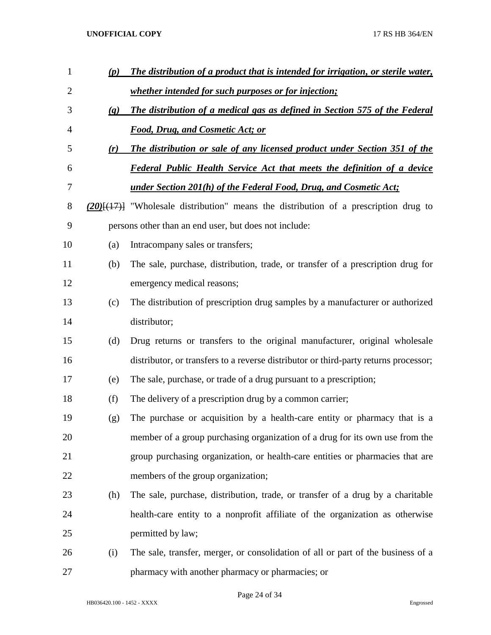| 1              | (p)               | The distribution of a product that is intended for irrigation, or sterile water,            |
|----------------|-------------------|---------------------------------------------------------------------------------------------|
| $\overline{2}$ |                   | whether intended for such purposes or for injection;                                        |
| 3              | $\left( q\right)$ | The distribution of a medical gas as defined in Section 575 of the Federal                  |
| 4              |                   | <b>Food, Drug, and Cosmetic Act; or</b>                                                     |
| 5              | (r)               | The distribution or sale of any licensed product under Section 351 of the                   |
| 6              |                   | <b>Federal Public Health Service Act that meets the definition of a device</b>              |
| 7              |                   | <u>under Section 201(h) of the Federal Food, Drug, and Cosmetic Act;</u>                    |
| 8              |                   | $(20)$ { $(17)$ } "Wholesale distribution" means the distribution of a prescription drug to |
| 9              |                   | persons other than an end user, but does not include:                                       |
| 10             | (a)               | Intracompany sales or transfers;                                                            |
| 11             | (b)               | The sale, purchase, distribution, trade, or transfer of a prescription drug for             |
| 12             |                   | emergency medical reasons;                                                                  |
| 13             | (c)               | The distribution of prescription drug samples by a manufacturer or authorized               |
| 14             |                   | distributor;                                                                                |
| 15             | (d)               | Drug returns or transfers to the original manufacturer, original wholesale                  |
| 16             |                   | distributor, or transfers to a reverse distributor or third-party returns processor;        |
| 17             | (e)               | The sale, purchase, or trade of a drug pursuant to a prescription;                          |
| 18             | (f)               | The delivery of a prescription drug by a common carrier;                                    |
| 19             | (g)               | The purchase or acquisition by a health-care entity or pharmacy that is a                   |
| 20             |                   | member of a group purchasing organization of a drug for its own use from the                |
| 21             |                   | group purchasing organization, or health-care entities or pharmacies that are               |
| 22             |                   | members of the group organization;                                                          |
| 23             | (h)               | The sale, purchase, distribution, trade, or transfer of a drug by a charitable              |
| 24             |                   | health-care entity to a nonprofit affiliate of the organization as otherwise                |
| 25             |                   | permitted by law;                                                                           |
| 26             | (i)               | The sale, transfer, merger, or consolidation of all or part of the business of a            |
| 27             |                   | pharmacy with another pharmacy or pharmacies; or                                            |

Page 24 of 34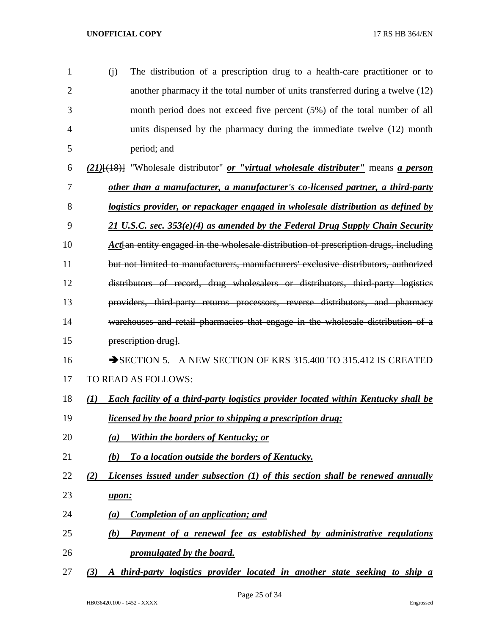| $\mathbf{1}$   | The distribution of a prescription drug to a health-care practitioner or to<br>(i)                            |
|----------------|---------------------------------------------------------------------------------------------------------------|
| $\overline{2}$ | another pharmacy if the total number of units transferred during a twelve (12)                                |
| 3              | month period does not exceed five percent (5%) of the total number of all                                     |
| $\overline{4}$ | units dispensed by the pharmacy during the immediate twelve (12) month                                        |
| 5              | period; and                                                                                                   |
| 6              | (21)[(18)] "Wholesale distributor" <i>or "virtual wholesale distributer"</i> means <i>a person</i>            |
| 7              | other than a manufacturer, a manufacturer's co-licensed partner, a third-party                                |
| 8              | logistics provider, or repackager engaged in wholesale distribution as defined by                             |
| 9              | $21$ U.S.C. sec. 353(e)(4) as amended by the Federal Drug Supply Chain Security                               |
| 10             | Act an entity engaged in the wholesale distribution of prescription drugs, including                          |
| 11             | but not limited to manufacturers, manufacturers' exclusive distributors, authorized                           |
| 12             | distributors of record, drug wholesalers or distributors, third party logistics                               |
| 13             | providers, third-party returns processors, reverse distributors, and pharmacy                                 |
| 14             | warehouses and retail pharmacies that engage in the wholesale distribution of a                               |
| 15             | prescription drug].                                                                                           |
| 16             | SECTION 5. A NEW SECTION OF KRS 315.400 TO 315.412 IS CREATED                                                 |
| 17             | <b>TO READ AS FOLLOWS:</b>                                                                                    |
| 18             | <b>Each facility of a third-party logistics provider located within Kentucky shall be</b><br>$\mathcal{L}(I)$ |
| 19             | <i>licensed by the board prior to shipping a prescription drug:</i>                                           |
| 20             | Within the borders of Kentucky; or<br>(a)                                                                     |
| 21             | To a location outside the borders of Kentucky.<br>(b)                                                         |
| 22             | Licenses issued under subsection $(1)$ of this section shall be renewed annually<br>(2)                       |
| 23             | upon:                                                                                                         |
| 24             | <b>Completion of an application; and</b><br>(a)                                                               |
| 25             | Payment of a renewal fee as established by administrative regulations<br>(b)                                  |
| 26             | promulgated by the board.                                                                                     |

*(3) A third-party logistics provider located in another state seeking to ship a*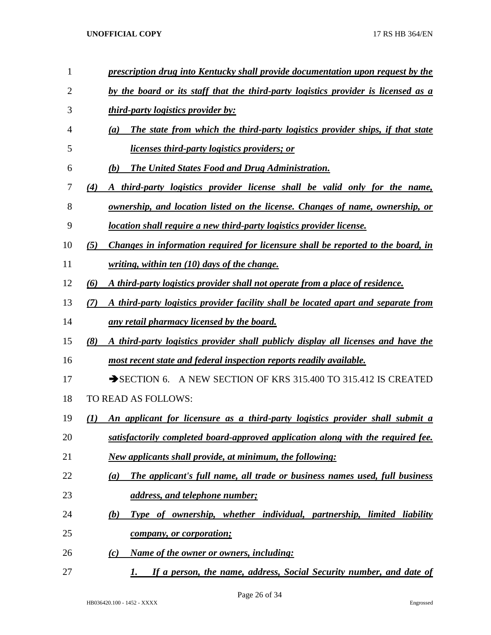| 1              | prescription drug into Kentucky shall provide documentation upon request by the           |
|----------------|-------------------------------------------------------------------------------------------|
| $\overline{2}$ | by the board or its staff that the third-party logistics provider is licensed as a        |
| 3              | <i>third-party logistics provider by:</i>                                                 |
| 4              | The state from which the third-party logistics provider ships, if that state<br>(a)       |
| 5              | <u>licenses third-party logistics providers; or</u>                                       |
| 6              | <b>The United States Food and Drug Administration.</b><br>(b)                             |
| 7              | A third-party logistics provider license shall be valid only for the name,<br>(4)         |
| 8              | <u>ownership, and location listed on the license. Changes of name, ownership, or</u>      |
| 9              | location shall require a new third-party logistics provider license.                      |
| 10             | Changes in information required for licensure shall be reported to the board, in<br>(5)   |
| 11             | <u>writing, within ten (10) days of the change.</u>                                       |
| 12             | A third-party logistics provider shall not operate from a place of residence.<br>(6)      |
| 13             | A third-party logistics provider facility shall be located apart and separate from<br>(7) |
| 14             | any retail pharmacy licensed by the board.                                                |
| 15             | A third-party logistics provider shall publicly display all licenses and have the<br>(8)  |
| 16             | most recent state and federal inspection reports readily available.                       |
| 17             | SECTION 6. A NEW SECTION OF KRS 315.400 TO 315.412 IS CREATED                             |
| 18             | TO READ AS FOLLOWS:                                                                       |
| 19             | An applicant for licensure as a third-party logistics provider shall submit a<br>(I)      |
| 20             | satisfactorily completed board-approved application along with the required fee.          |
| 21             | <b>New applicants shall provide, at minimum, the following:</b>                           |
| 22             | The applicant's full name, all trade or business names used, full business<br>(a)         |
| 23             | address, and telephone number;                                                            |
| 24             | Type of ownership, whether individual, partnership, limited liability<br><u>(b)</u>       |
| 25             | <i>company, or corporation;</i>                                                           |
| 26             | <u>Name of the owner or owners, including:</u><br>(c)                                     |
| 27             | If a person, the name, address, Social Security number, and date of<br>1.                 |

Page 26 of 34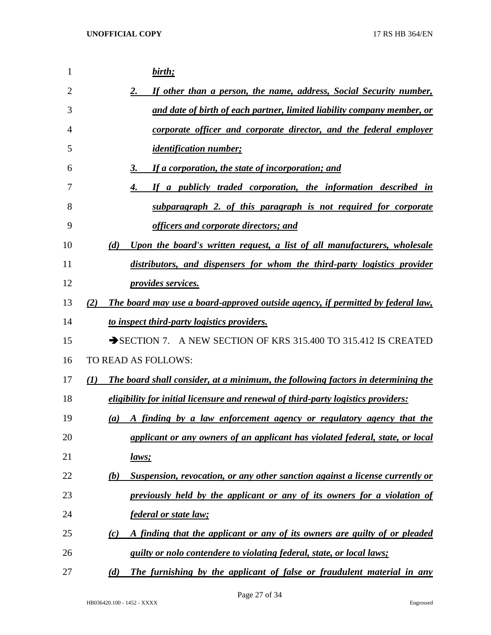| 1              | birth;                                                                                   |
|----------------|------------------------------------------------------------------------------------------|
| $\overline{2}$ | If other than a person, the name, address, Social Security number,<br>2.                 |
| 3              | and date of birth of each partner, limited liability company member, or                  |
| 4              | corporate officer and corporate director, and the federal employer                       |
| 5              | <i><u><b>identification number;</b></u></i>                                              |
| 6              | If a corporation, the state of incorporation; and<br>3.                                  |
| 7              | If a publicly traded corporation, the information described in<br>4.                     |
| 8              | subparagraph 2. of this paragraph is not required for corporate                          |
| 9              | officers and corporate directors; and                                                    |
| 10             | Upon the board's written request, a list of all manufacturers, wholesale<br>(d)          |
| 11             | distributors, and dispensers for whom the third-party logistics provider                 |
| 12             | <i>provides services.</i>                                                                |
| 13             | The board may use a board-approved outside agency, if permitted by federal law,<br>(2)   |
| 14             | to inspect third-party logistics providers.                                              |
| 15             | SECTION 7. A NEW SECTION OF KRS 315.400 TO 315.412 IS CREATED                            |
| 16             | TO READ AS FOLLOWS:                                                                      |
| 17             | The board shall consider, at a minimum, the following factors in determining the<br>(1)  |
| 18             | eligibility for initial licensure and renewal of third-party logistics providers:        |
| 19             | A finding by a law enforcement agency or regulatory agency that the<br>$\left( a\right)$ |
| 20             | applicant or any owners of an applicant has violated federal, state, or local            |
| 21             | <u>laws;</u>                                                                             |
| 22             | Suspension, revocation, or any other sanction against a license currently or<br>(b)      |
| 23             | previously held by the applicant or any of its owners for a violation of                 |
| 24             | <i>federal or state law;</i>                                                             |
| 25             | A finding that the applicant or any of its owners are guilty of or pleaded<br>(c)        |
| 26             | guilty or nolo contendere to violating federal, state, or local laws;                    |
| 27             | The furnishing by the applicant of false or fraudulent material in any<br>(d)            |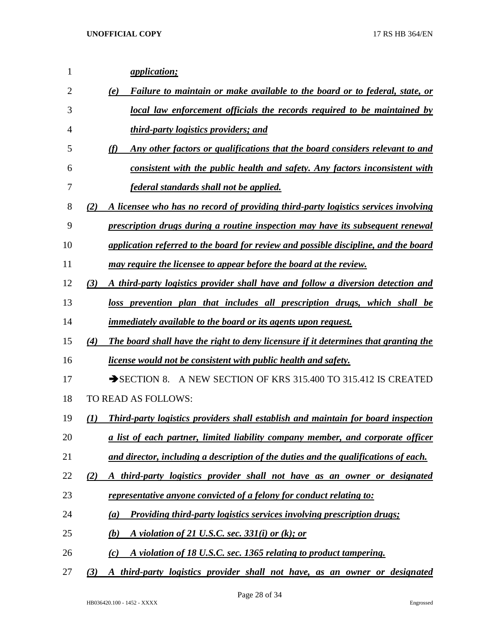| 1  | <i><u><b>application</b></u></i>                                                           |
|----|--------------------------------------------------------------------------------------------|
| 2  | Failure to maintain or make available to the board or to federal, state, or<br>(e)         |
| 3  | local law enforcement officials the records required to be maintained by                   |
| 4  | <i>third-party logistics providers; and</i>                                                |
| 5  | Any other factors or qualifications that the board considers relevant to and<br>(f)        |
| 6  | consistent with the public health and safety. Any factors inconsistent with                |
| 7  | federal standards shall not be applied.                                                    |
| 8  | A licensee who has no record of providing third-party logistics services involving<br>(2)  |
| 9  | prescription drugs during a routine inspection may have its subsequent renewal             |
| 10 | application referred to the board for review and possible discipline, and the board        |
| 11 | may require the licensee to appear before the board at the review.                         |
| 12 | (3)<br>A third-party logistics provider shall have and follow a diversion detection and    |
| 13 | loss prevention plan that includes all prescription drugs, which shall be                  |
| 14 | <i>immediately available to the board or its agents upon request.</i>                      |
| 15 | The board shall have the right to deny licensure if it determines that granting the<br>(4) |
| 16 | <u>license would not be consistent with public health and safety.</u>                      |
| 17 | A NEW SECTION OF KRS 315.400 TO 315.412 IS CREATED<br>$\rightarrow$ SECTION 8.             |
| 18 | TO READ AS FOLLOWS:                                                                        |
| 19 | Third-party logistics providers shall establish and maintain for board inspection<br>(I)   |
| 20 | a list of each partner, limited liability company member, and corporate officer            |
| 21 | and director, including a description of the duties and the qualifications of each.        |
| 22 | (2)<br>A third-party logistics provider shall not have as an owner or designated           |
| 23 | <u>representative anyone convicted of a felony for conduct relating to:</u>                |
| 24 | <b>Providing third-party logistics services involving prescription drugs;</b><br>(a)       |
| 25 | (b)<br>A violation of 21 U.S.C. sec. 331(i) or (k); or                                     |
| 26 | A violation of 18 U.S.C. sec. 1365 relating to product tampering.<br>(c)                   |
| 27 | A third-party logistics provider shall not have, as an owner or designated<br>(3)          |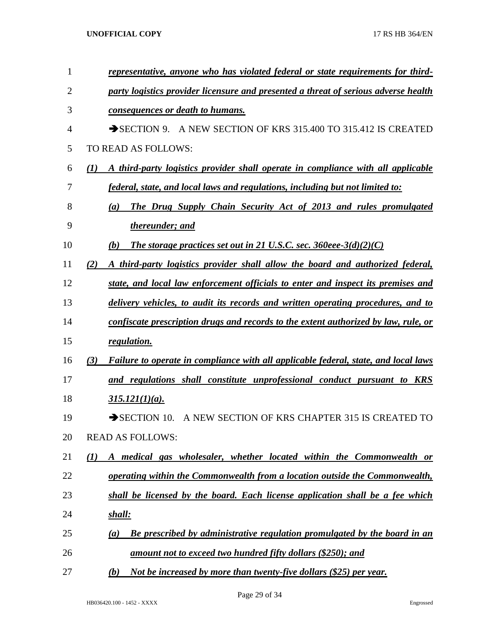| 1              |                  | representative, anyone who has violated federal or state requirements for third-    |
|----------------|------------------|-------------------------------------------------------------------------------------|
| $\overline{2}$ |                  | party logistics provider licensure and presented a threat of serious adverse health |
| 3              |                  | consequences or death to humans.                                                    |
| 4              |                  | A NEW SECTION OF KRS 315.400 TO 315.412 IS CREATED<br>$\rightarrow$ SECTION 9.      |
| 5              |                  | TO READ AS FOLLOWS:                                                                 |
| 6              | $\mathcal{L}(I)$ | A third-party logistics provider shall operate in compliance with all applicable    |
| 7              |                  | federal, state, and local laws and regulations, including but not limited to:       |
| 8              |                  | The Drug Supply Chain Security Act of 2013 and rules promulgated<br>(a)             |
| 9              |                  | thereunder; and                                                                     |
| 10             |                  | The storage practices set out in 21 U.S.C. sec. 360eee-3(d)(2)(C)<br>(b)            |
| 11             | (2)              | A third-party logistics provider shall allow the board and authorized federal,      |
| 12             |                  | state, and local law enforcement officials to enter and inspect its premises and    |
| 13             |                  | delivery vehicles, to audit its records and written operating procedures, and to    |
| 14             |                  | confiscate prescription drugs and records to the extent authorized by law, rule, or |
| 15             |                  | regulation.                                                                         |
| 16             | (3)              | Failure to operate in compliance with all applicable federal, state, and local laws |
| 17             |                  | and regulations shall constitute unprofessional conduct pursuant to KRS             |
| 18             |                  | $315.121(1)(a)$ .                                                                   |
| 19             |                  | A NEW SECTION OF KRS CHAPTER 315 IS CREATED TO<br>$\rightarrow$ SECTION 10.         |
| 20             |                  | <b>READ AS FOLLOWS:</b>                                                             |
| 21             | $\mathcal{L}(I)$ | A medical gas wholesaler, whether located within the Commonwealth or                |
| 22             |                  | operating within the Commonwealth from a location outside the Commonwealth,         |
| 23             |                  | shall be licensed by the board. Each license application shall be a fee which       |
| 24             |                  | <u>shall:</u>                                                                       |
| 25             |                  | Be prescribed by administrative regulation promulgated by the board in an<br>(a)    |
| 26             |                  | <u>amount not to exceed two hundred fifty dollars (\$250); and</u>                  |
| 27             |                  | Not be increased by more than twenty-five dollars (\$25) per year.<br>(b)           |

Page 29 of 34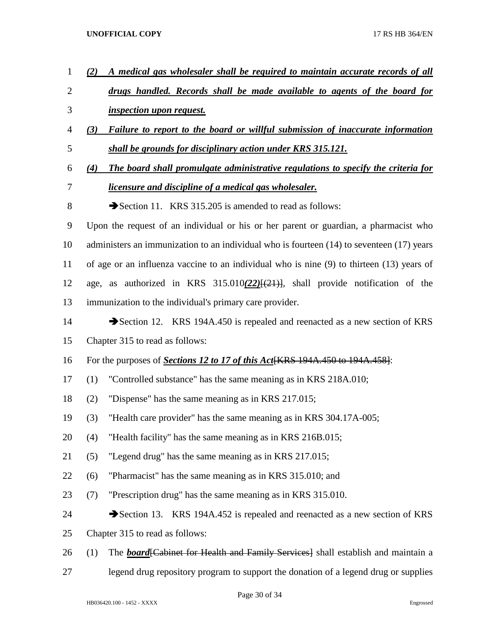| $\mathbf{1}$   | A medical gas wholesaler shall be required to maintain accurate records of all<br>(2)         |
|----------------|-----------------------------------------------------------------------------------------------|
| $\overline{2}$ | drugs handled. Records shall be made available to agents of the board for                     |
| 3              | <i>inspection upon request.</i>                                                               |
| 4              | Failure to report to the board or willful submission of inaccurate information<br>(3)         |
| 5              | shall be grounds for disciplinary action under KRS 315.121.                                   |
| 6              | The board shall promulgate administrative regulations to specify the criteria for<br>(4)      |
| 7              | <i>licensure and discipline of a medical gas wholesaler.</i>                                  |
| $8\,$          | Section 11. KRS 315.205 is amended to read as follows:                                        |
| 9              | Upon the request of an individual or his or her parent or guardian, a pharmacist who          |
| 10             | administers an immunization to an individual who is fourteen $(14)$ to seventeen $(17)$ years |
| 11             | of age or an influenza vaccine to an individual who is nine (9) to thirteen (13) years of     |
| 12             | age, as authorized in KRS $315.010(22)[(21)]$ , shall provide notification of the             |
| 13             | immunization to the individual's primary care provider.                                       |
| 14             | Section 12. KRS 194A.450 is repealed and reenacted as a new section of KRS                    |
| 15             | Chapter 315 to read as follows:                                                               |
| 16             | For the purposes of Sections 12 to 17 of this Act [KRS 194A.450 to 194A.458]:                 |
| 17             | "Controlled substance" has the same meaning as in KRS 218A.010;<br>(1)                        |
| 18             | "Dispense" has the same meaning as in KRS 217.015;<br>(2)                                     |
| 19             | "Health care provider" has the same meaning as in KRS 304.17A-005;<br>(3)                     |
| 20             | "Health facility" has the same meaning as in KRS 216B.015;<br>(4)                             |
| 21             | "Legend drug" has the same meaning as in KRS 217.015;<br>(5)                                  |
| 22             | "Pharmacist" has the same meaning as in KRS 315.010; and<br>(6)                               |
| 23             | "Prescription drug" has the same meaning as in KRS 315.010.<br>(7)                            |
| 24             | Section 13. KRS 194A.452 is repealed and reenacted as a new section of KRS                    |
| 25             | Chapter 315 to read as follows:                                                               |
| 26             | The <b>board</b> Cabinet for Health and Family Services Shall establish and maintain a<br>(1) |
| 27             | legend drug repository program to support the donation of a legend drug or supplies           |

Page 30 of 34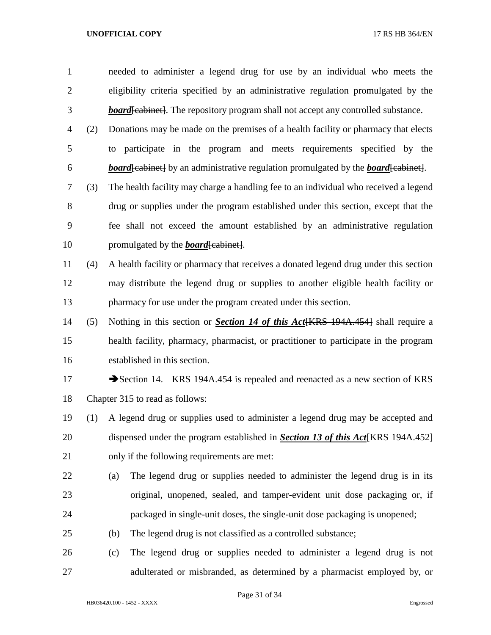needed to administer a legend drug for use by an individual who meets the eligibility criteria specified by an administrative regulation promulgated by the **board** [cabinet]. The repository program shall not accept any controlled substance. (2) Donations may be made on the premises of a health facility or pharmacy that elects to participate in the program and meets requirements specified by the *board*[cabinet] by an administrative regulation promulgated by the *board*[cabinet]. (3) The health facility may charge a handling fee to an individual who received a legend drug or supplies under the program established under this section, except that the fee shall not exceed the amount established by an administrative regulation 10 promulgated by the *board* [cabinet]. (4) A health facility or pharmacy that receives a donated legend drug under this section may distribute the legend drug or supplies to another eligible health facility or pharmacy for use under the program created under this section. (5) Nothing in this section or *Section 14 of this Act*[KRS 194A.454] shall require a health facility, pharmacy, pharmacist, or practitioner to participate in the program established in this section. 17 Section 14. KRS 194A.454 is repealed and reenacted as a new section of KRS Chapter 315 to read as follows: (1) A legend drug or supplies used to administer a legend drug may be accepted and dispensed under the program established in *Section 13 of this Act*[KRS 194A.452] only if the following requirements are met: (a) The legend drug or supplies needed to administer the legend drug is in its original, unopened, sealed, and tamper-evident unit dose packaging or, if packaged in single-unit doses, the single-unit dose packaging is unopened; (b) The legend drug is not classified as a controlled substance;

 (c) The legend drug or supplies needed to administer a legend drug is not adulterated or misbranded, as determined by a pharmacist employed by, or

Page 31 of 34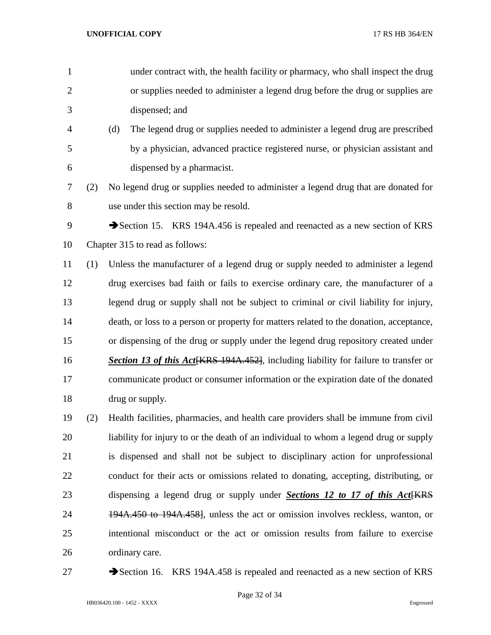- under contract with, the health facility or pharmacy, who shall inspect the drug or supplies needed to administer a legend drug before the drug or supplies are dispensed; and (d) The legend drug or supplies needed to administer a legend drug are prescribed by a physician, advanced practice registered nurse, or physician assistant and dispensed by a pharmacist. (2) No legend drug or supplies needed to administer a legend drug that are donated for use under this section may be resold. 9 Section 15. KRS 194A.456 is repealed and reenacted as a new section of KRS Chapter 315 to read as follows: (1) Unless the manufacturer of a legend drug or supply needed to administer a legend drug exercises bad faith or fails to exercise ordinary care, the manufacturer of a legend drug or supply shall not be subject to criminal or civil liability for injury, death, or loss to a person or property for matters related to the donation, acceptance, or dispensing of the drug or supply under the legend drug repository created under
- **Section 13 of this Act** KRS 194A.452, including liability for failure to transfer or communicate product or consumer information or the expiration date of the donated drug or supply.
- (2) Health facilities, pharmacies, and health care providers shall be immune from civil liability for injury to or the death of an individual to whom a legend drug or supply is dispensed and shall not be subject to disciplinary action for unprofessional conduct for their acts or omissions related to donating, accepting, distributing, or 23 dispensing a legend drug or supply under *Sections 12 to 17 of this Act* [KRS] 24 194A.450 to 194A.458, unless the act or omission involves reckless, wanton, or intentional misconduct or the act or omission results from failure to exercise ordinary care.
- 

27 Section 16. KRS 194A.458 is repealed and reenacted as a new section of KRS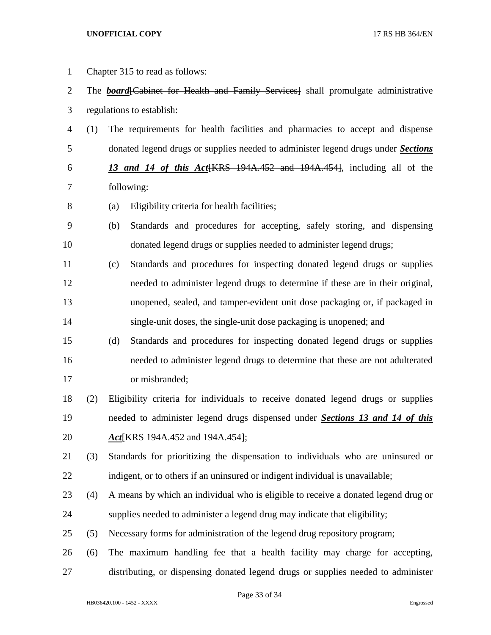Chapter 315 to read as follows: 2 The *board* [Cabinet for Health and Family Services] shall promulgate administrative regulations to establish: (1) The requirements for health facilities and pharmacies to accept and dispense donated legend drugs or supplies needed to administer legend drugs under *Sections 13 and 14 of this Act*[KRS 194A.452 and 194A.454], including all of the following: (a) Eligibility criteria for health facilities; (b) Standards and procedures for accepting, safely storing, and dispensing donated legend drugs or supplies needed to administer legend drugs; (c) Standards and procedures for inspecting donated legend drugs or supplies needed to administer legend drugs to determine if these are in their original, unopened, sealed, and tamper-evident unit dose packaging or, if packaged in single-unit doses, the single-unit dose packaging is unopened; and (d) Standards and procedures for inspecting donated legend drugs or supplies needed to administer legend drugs to determine that these are not adulterated or misbranded; (2) Eligibility criteria for individuals to receive donated legend drugs or supplies needed to administer legend drugs dispensed under *Sections 13 and 14 of this Act*[KRS 194A.452 and 194A.454]; (3) Standards for prioritizing the dispensation to individuals who are uninsured or 22 indigent, or to others if an uninsured or indigent individual is unavailable; (4) A means by which an individual who is eligible to receive a donated legend drug or supplies needed to administer a legend drug may indicate that eligibility; (5) Necessary forms for administration of the legend drug repository program; (6) The maximum handling fee that a health facility may charge for accepting, distributing, or dispensing donated legend drugs or supplies needed to administer

Page 33 of 34